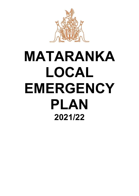

# **MATARANKA LOCAL EMERGENCY PLAN 2021/22**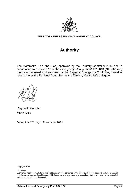

# **TERRITORY EMERGENCY MANAGEMENT COUNCIL**

# **Authority**

The Mataranka Plan (the Plan) approved by the Territory Controller 2013 and in accordance with section 17 of the *Emergency Management Act* 2013 (NT) (the Act) has been reviewed and endorsed by the Regional Emergency Controller, hereafter referred to as the Regional Controller, as the Territory Controller's delegate.

Regional Controller Martin Dole

Dated this 2<sup>nd</sup> day of November 2021

Copyright: 2021

Disclaimer

Every effort has been made to ensure that the information contained within these guidelines is accurate and where possible reflects current best practice. However, NTES does not give any warranty or accept any liability in relation to the content of material contained in the document.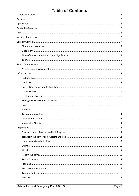# **Table of Contents**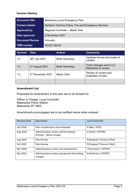# <span id="page-4-0"></span>**Version History**

| <b>Document title</b>  | Mataranka Local Emergency Plan                         |
|------------------------|--------------------------------------------------------|
| <b>Contact details</b> | Northern Territory Police, Fire and Emergency Services |
| Approved by            | Regional Controller - Martin Dole                      |
| Date approved          | 2 November 2021                                        |
| <b>Document Review</b> | Annually                                               |
| <b>TRM</b> number      | 04:D21:58124                                           |

| <b>Version</b> | <b>Date</b>                   | Author.               | <b>Comments</b>                                  |
|----------------|-------------------------------|-----------------------|--------------------------------------------------|
| 1.0            | 26th July 2021                | <b>Brian Hennessy</b> | Updated format and review of<br>content.         |
| 1.0            | 3rd August 2021               | <b>Brian Hennessy</b> | Track changes sent to LC<br>Mataranka to review. |
| 1.0            | 2 <sup>nd</sup> November 2021 | Martin Dole           | Review of content and<br>finalisation of plan.   |
|                |                               |                       |                                                  |

## **Amendment List**

Proposals for amendment to this plan are to be forward to:

Officer in Charge, Local Controller Mataranka Police Station Mataranka NT 0822

Amendments promulgated are to be certified below when entered:

| <b>Revision Date</b> | Description                                                      | <b>Local Controller</b> |
|----------------------|------------------------------------------------------------------|-------------------------|
| <b>July 2018</b>     | Plan transferred to new template                                 | K Riley / NTES          |
| Aug 2018             | Administrative review and formatting -<br>entirety - Name change | A Heath / NTFRES        |
| Aug 2019             | <b>Plan Review</b>                                               | R/Sergeant Thomas CHALK |
| Oct 2020             | <b>Plan Review</b>                                               | R/Sergeant Thomas CHALK |
| Nov 2020             | Administrative review and amendments                             | J Richardson / NTPFES   |
| Nov 2021             | Administrative review and general formatting<br>changes          | R McKinnon / NTPFES     |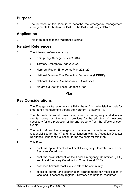# <span id="page-5-0"></span>**Purpose**

1. The purpose of this Plan is to describe the emergency management arrangements for Mataranka District (the District) during 2021/22.

# <span id="page-5-1"></span>**Application**

2. This Plan applies to the Mataranka District.

# <span id="page-5-2"></span>**Related References**

- 3. The following references apply:
	- *Emergency Management Act 2013*
	- Territory Emergency Plan 2021/22
	- Northern Region Emergency Plan 2021/22
	- National Disaster Risk Reduction Framework (NDRRF)
	- National Disaster Risk Assessment Guidelines.
	- Mataranka District Local Pandemic Plan

# **Plan**

# <span id="page-5-4"></span><span id="page-5-3"></span>**Key Considerations**

- 4. The *Emergency Management Act* 2013 (the Act) is the legislative basis for emergency management across the Northern Territory (NT).
- 5. The Act reflects an all hazards approach to emergency and disaster events, natural or otherwise. It provides for the adoption of measures necessary for the protection of life and property from the effects of such events.
- 6. The Act defines the emergency management structures, roles and responsibilities for the NT and, in conjunction with the Australian Disaster Resilience Handbook Collection, forms the basis for this Plan.
- 7. This Plan:
	- confirms appointment of a Local Emergency Controller and Local Recovery Coordinator
	- confirms establishment of the Local Emergency Committee (LEC) and Local Recovery Coordination Committee (LRCC)
	- assesses hazards most likely to affect the community
	- specifies control and coordination arrangements for mobilisation of local and, if necessary regional, Territory and national resources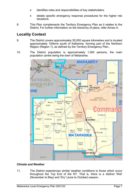- identifies roles and responsibilities of key stakeholders
- details specific emergency response procedures for the higher risk situations.
- 8. This Plan complements the Territory Emergency Plan as it relates to the District. For further information on the hierarchy of plans, refer Annex A.

# <span id="page-6-0"></span>**Locality Context**

- 9. The District covers approximately 55,000 square kilometres and is located approximately 104kms south of Katherine, forming part of the Northern Region (Region 1), as defined by the Territory Emergency Plan..
- 10. The District population is approximately 1,500 persons, the main population centre being the town of Mataranka.



# <span id="page-6-1"></span>**Climate and Weather**

11. The District experiences similar weather conditions to those which occur throughout the Top End of the NT. That is, there is a distinct 'Wet' (November to May) and 'Dry' (June to October) season.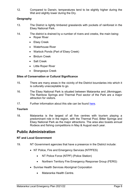12. Compared to Darwin, temperatures tend to be slightly higher during the Wet and slightly lower during the Dry.

# <span id="page-7-0"></span>**Geography**

- 13. The District is lightly timbered grasslands with pockets of rainforest in the Elsey National Park.
- 14. The district is drained by a number of rivers and creeks, the main being:
	- Roper River
	- Elsey Creek
	- Waterhouse River
	- Warlock Ponds (Part of Elsey Creek)
	- Birdum Creek
	- Salt Creek
	- Little Roper River
	- Strangways Creek

# <span id="page-7-1"></span>**Sites of Conservation or Cultural Significance**

- 15. There are many areas in the vicinity of the District boundaries into which it is culturally unacceptable to go.
- 16. The Elsey National Park is situated between Mataranka and Jilkminggan. The Rainbow Springs and Thermal Pool sector of the Park are a major attraction for visitors.
- 17. Further information about this site can be found [here.](https://nt.gov.au/environment/environment-data-maps/important-biodiversity-conservation-sites/conservation-significance-list)

# <span id="page-7-2"></span>**Tourism**

18. Mataranka is the largest of all five centres with tourism playing a predominant role in the region, with the Thermal Pool, Bitter Springs and Elsey National Park as the major attractions. The area also boasts annual Rodeos and fishing competitions in May & August each year.

# <span id="page-7-3"></span>**Public Administration**

# <span id="page-7-4"></span>**NT and Local Government**

- 19. NT Government agencies that have a presence in the District include:
	- NT Police, Fire and Emergency Services (NTPFES)
		- NT Police Force (NTPF) (Police Station)
		- Northern Territory Fire Emergency Response Group (FERG)
	- Sunrise Health Services Aboriginal Corporation
		- Mataranka Health Centre.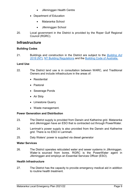- Jilkminggan Health Centre
- Department of Education
	- Mataranka School
	- Jilkminggan School
- 20. Local government in the District is provided by the Roper Gulf Regional Council (RGRC).

# <span id="page-8-0"></span>**Infrastructure**

# <span id="page-8-1"></span>**Building Codes**

21. Buildings and construction in the District are subject to the *[Building Act](https://legislation.nt.gov.au/en/Legislation/BUILDING-ACT)  [2016](https://legislation.nt.gov.au/en/Legislation/BUILDING-ACT)* (NT), [NT Building Regulations](https://legislation.nt.gov.au/Legislation/BUILDING-REGULATIONS) and the [Building Code of Australia.](https://www.abcb.gov.au/NCC/About)

# <span id="page-8-2"></span>**Land Use**

- 22. The District land use is in consultation between WARC, and Traditional Owners and include infrastructure in the areas of:
	- Residential
	- Pastoral
	- Sewerage Ponds
	- Air Strip
	- Limestone Quarry
	- Waste management.

# <span id="page-8-3"></span>**Power Generation and Distribution**

- 23. The District supply is provided from Darwin and Katherine grid. Mataranka and Jilkminggan have an ESO that is contracted out through PowerWater.
- 24. Larrimah's power supply is also provided from the Darwin and Katherine grid. There is no ESO in Larrimah.
- 25. Daly Waters' power is supplied via diesel generator

# <span id="page-8-4"></span>**Water Services**

26. The District operates reticulated water and sewer systems in Jilkminggan. Water is sourced from bores. RGRC is the PowerWater agent in Jilkminggan and employs an Essential Services Officer (ESO).

# <span id="page-8-5"></span>**Health Infrastructure**

27. The District has the capacity to provide emergency medical aid in addition to routine health treatment.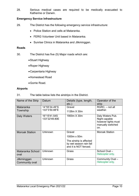28. Serious medical cases are required to be medically evacuated to Katherine or Darwin.

# <span id="page-9-0"></span>**Emergency Service Infrastructure**

- 29. The District has the following emergency service infrastructure:
	- Police Station and cells at Mataranka.
	- FERG Volunteer Unit based in Mataranka.
	- Sunrise Clinics in Mataranka and Jilkminggan.

# <span id="page-9-1"></span>**Roads**

30. The District has five (5) Major roads which are:

- •Stuart Highway
- •Roper Highway
- •Carpentaria Highway
- •Homestead Road
- •Gorrie Road.

# <span id="page-9-2"></span>**Airports**

31. The table below lists the airstrips in the District.

| Name of the Strip             | Datum                          | Details (type, length,<br>$etc.$ )                                           | Operator of the<br>strip                                         |
|-------------------------------|--------------------------------|------------------------------------------------------------------------------|------------------------------------------------------------------|
| Mataranka<br>Township         | 14°55'34.49"S<br>133°3'50.88"E | Gravel<br>1126m X 30m                                                        | RGRC, - not all<br>weather.                                      |
| Daly Waters                   | 16°15'41.54S                   | 1900m X 30m                                                                  | Daly Waters Pub.                                                 |
|                               | 133°22'49.80E                  |                                                                              | Night capable<br>however lights must<br>manually switched<br>on. |
| <b>Moroak Station</b>         | Unknown                        | Gravel                                                                       | <b>Moroak Station</b>                                            |
|                               |                                | 1000m x 50m                                                                  |                                                                  |
|                               |                                | The airstrip is affected<br>by wet season rain fall<br>and it is NOT fenced. |                                                                  |
| Mataranka School<br>oval      | Unknown                        | Grass                                                                        | School Oval-<br>Helicopter only.                                 |
| Jilkminggan<br>Community oval | Unknown                        | Grass                                                                        | Community Oval -<br>Helicopter only.                             |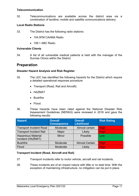## <span id="page-10-0"></span>**Telecommunication**

32. Telecommunications are available across the district area via a combination of landline, mobile and satellite communications delivery.

# <span id="page-10-1"></span>**Local Radio Stations**

- 33. The District has the following radio stations:
	- 104 5FM CAAMA Radio
	- 106.1 ABC Radio

# <span id="page-10-2"></span>**Vulnerable Clients**

34. A list of all vulnerable medical patients is held with the manager of the Sunrise Clinics within the District.

# <span id="page-10-3"></span>**Preparation**

# <span id="page-10-4"></span>**Disaster Hazard Analysis and Risk Register**

- 35. The LEC has identified the following hazards for the District which require a detailed operational response procedure:
	- Transport (Road, Rail and Aircraft)
	- HAZMAT
	- Bushfire
	- Flood.
- 36. These hazards have been rated against the National Disaster Risk Assessment Guidelines (NERAG) were reviewed in 2016 and gave the following results:

| <b>Hazard</b>                                  | <b>Overall</b><br><b>Consequence</b> | <b>Overall</b><br><b>Likelihood</b> | <b>Risk Rating</b> |
|------------------------------------------------|--------------------------------------|-------------------------------------|--------------------|
| <b>Transport Incident Road</b>                 | Moderate                             | Almost certain                      | <b>High</b>        |
| <b>Transport Incident Rail</b>                 | Major                                | Likely                              | <b>High</b>        |
| <b>Hazardous Material</b><br>Incident (HAZMAT) | <b>Minor</b>                         | Possible                            | Low                |
| <b>Bushfire</b>                                | Moderate                             | <b>Almost Certain</b>               | <b>High</b>        |
| Flood                                          | Moderate                             | Likely                              | <b>High</b>        |

# <span id="page-10-5"></span>**Transport Incident (Road, Aircraft and Rail)**

- 37. Transport incidents refer to motor vehicle, aircraft and rail incidents.
- 38. These incidents are of an impact nature with little or no lead time. With the exception of maintaining infrastructure, no mitigation can be put in place.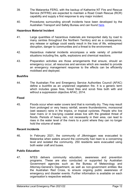- 39. The Mataranka FERG, with the backup of Katherine NT Fire and Rescue Service (NTFRS) are expected to maintain a Road Crash Rescue (RCR) capability and supply a first response to any major incident.
- 40. Procedures surrounding aircraft incidents have been developed by the Australian Transport and Safety Bureau and can found [here.](https://www.atsb.gov.au/media/1538966/civil_militaryaccidguide_v5.pdf)

# <span id="page-11-0"></span>**Hazardous Material Incident**

- 41. Large quantities of hazardous materials are transported daily by road to many centres throughout the Northern Territory and as a consequence, any release or spillage could easily result in the loss of life, widespread disruption, danger to communities and a threat to the environment.
- 42. Hazardous material incidents encompass a wide variety of potential situations including fire, spills, explosions and chemical reactions.
- 43. Preparation activities are those arrangements that ensure, should an emergency occur, all resources and services which are needed to provide an emergency management response to the effects can be efficiently mobilised and deployed.

## <span id="page-11-1"></span>**Bushfire**

44. The Australian Fire and Emergency Service Authorities Council (AFAC) define a *bushfire* as an unplanned vegetation fire. It is a generic term which includes grass fires, forest fires and scrub fires both with and without a suppression objective AFAC, 2014.

#### <span id="page-11-2"></span>**Flood**

45. Floods occur when water covers land that is normally dry. They may result from prolonged or very heavy rainfall, severe thunderstorms, monsoonal (wet season) rains in the tropics, or tropical cyclones. People who live near rivers or in low-lying coastal areas live with the greatest threat of floods. Periods of heavy rain, not necessarily in their area, can lead to rises in the water level of the rivers to a point where they can no longer hold the volume of water.

## <span id="page-11-3"></span>**Recent incidents**

46. In February 2021, the community of Jilkminggan was evacuated to Mataranka when waters around the community had risen to a concerning level and isolated the community. 250 residents were evacuated using both water craft and buses.

## <span id="page-11-4"></span>**Public Education**

47. NTES delivers community education, awareness and prevention programs. These are also conducted or supported by Australian Government agencies such as the Bureau of Meteorology and Attorney-General's Department, as well as non-government entities like the Australian Red Cross, to ensure ongoing public awareness of emergency and disaster events. Further information is available on each organisation's respective website.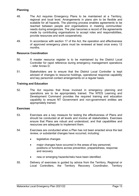# <span id="page-12-0"></span>**Planning**

- 48. The Act requires Emergency Plans to be maintained at a Territory, regional and local level. Arrangements in plans aim to be flexible and scalable for all hazards. The planning process enables agreements to be reached between people and organisations in meeting communities' needs during emergencies. The plan becomes a record of the agreements made by contributing organisations to accept roles and responsibilities, provide resources and work cooperatively.
- 49. In accordance with section 17 of the Act, the operation and effectiveness of approved emergency plans must be reviewed at least once every 12 months.

## <span id="page-12-1"></span>**Resource Coordination**

- 50. A master resource register is to be maintained by the District Local Controller for rapid reference during emergency management operations – refer Annex D.
- 51. Stakeholders are to ensure that the District Local Controller is kept advised of changes to resource holdings, operational response capability and key personnel contact arrangements on a regular basis.

# <span id="page-12-2"></span>**Training and Education**

52. The Act requires that those involved in emergency planning and operations are to be appropriately trained. The NTES Learning and Development Command provides the required training and education capability to ensure NT Government and non-government entities are appropriately trained.

## <span id="page-12-3"></span>**Exercises**

- 53. Exercises are a key measure for testing the effectiveness of Plans and should be conducted at all levels and involve all stakeholders. Exercises ensure that Plans are robust and understood, and that capabilities and resources are adequate to implement them.
- 54. Exercises are conducted when a Plan has not been enacted since the last review, or substantial changes have occurred, including:
	- legislative changes
	- major changes have occurred in the areas of key personnel, positions or functions across prevention, preparedness, response and recovery
	- new or emerging hazards/risks have been identified.
- 55. Delivery of exercises is guided by advice from the Territory, Regional or Local Controllers, the Territory Recovery Coordinator, Territory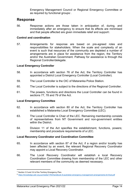Emergency Management Council or Regional Emergency Committee or as required by functional groups[1](#page-13-5).

# <span id="page-13-0"></span>**Response**

56. Response actions are those taken in anticipation of, during, and immediately after an emergency to ensure that its effects are minimised and that people affected are given immediate relief and support $^{\scriptscriptstyle 2}.$ 

# <span id="page-13-1"></span>**Control and coordination**

57. Arrangements for response are based on pre-agreed roles and responsibilities for stakeholders. When the scale and complexity of an event is such that resources of the community are depleted a number of arrangements are in place for assistance from the region, the Territory and/or the Australian Government. Pathway for assistance is through the Regional Controller/delegate.

# <span id="page-13-2"></span>**Local Emergency Controller**

- 58. In accordance with section 76 of the Act, the Territory Controller has appointed a District Local Emergency Controller (Local Controller).
- 59. The Local Controller is the OIC of Mataranka Police Station.
- 60. The Local Controller is subject to the directions of the Regional Controller.
- 61. The powers, functions and directions the Local Controller can be found in sections 77, 78 and 79 of the Act.

# <span id="page-13-3"></span>**Local Emergency Committee**

- 62. In accordance with section 80 of the Act, the Territory Controller has established a Mataranka Local Emergency Committee (LEC).
- 63. The Local Controller is Chair of the LEC. Remaining membership consists of representatives from NT Government and non-government entities within the District.
- 64. Division 11 of the Act specifies the establishment, functions, powers; membership and procedure requirements of a LEC.

# <span id="page-13-4"></span>**Local Recovery Coordinator and Coordination Committee**

- 65. In accordance with section 87 of the Act, if a region and/or locality has been affected by an event, the relevant Regional Recovery Coordinator may appoint a Local Recovery Coordinator.
- 66. The Local Recovery Coordinator will establish a local Recovery Coordination Committee drawing from membership of the LEC and other relevant members of the community as deemed necessary.

**.** 

<span id="page-13-5"></span> $1$  Section 3.5 and 3.6 of the Territory Emergency Plan.

<span id="page-13-6"></span><sup>2</sup> <https://knowledge.aidr.org.au/media/1764/handbook-9-australian-emergency-management-arrangements-kh-final.pdf>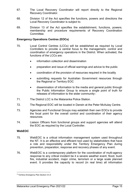- 67. The Local Recovery Coordinator will report directly to the Regional Recovery Coordinator.
- 68. Division 12 of the Act specifies the functions, powers and directions the Local Recovery Coordinator is subject to.
- 69. Division 13 of the Act specifies the establishment, functions, powers; membership and procedure requirements of Recovery Coordination Committee.

# <span id="page-14-0"></span>**Emergency Operations Centres (EOCs)**

- 70. Local Control Centres (LCCs) will be established as required by Local Controllers to provide a central focus to the management, control and coordination of emergency operations in the District. When activated, the functions of the LCCs are:
	- information collection and dissemination
	- preparation and issue of official warnings and advice to the public
	- coordination of the provision of resources required in the locality
	- submitting requests for Australian Government resources through the Regional or Territory EOC
	- dissemination of information to the media and general public through the Public Information Group to ensure a single point of truth for releases of information to the wider community<sup>[3](#page-14-2)</sup>.
- 71. The District LCC is the Mataranka Police Station.
- 72. The Regional EOC will be located in Darwin at the Peter McAulay Centre.
- 73. Agencies and Functional Groups may establish their own EOCs to provide the focal point for the overall control and coordination of their agency resources.
- 74. Liaison Officers from functional groups and support agencies will attend the EOC as required by the Local Controller.

# <span id="page-14-1"></span>**WebEOC**

 $\overline{\phantom{a}}$ 

- 75. WebEOC is a critical information management system used throughout the NT. It is an effective and efficient tool used by stakeholders that have a role and responsibility under the Territory Emergency Plan during prevention, preparation, response and recovery phases of any event.
- 76. WebEOC is a contemporary platform for the coordination of multi-agency response to any critical incident be it a severe weather event, flood, bush fire, industrial accident, major crime, terrorism or a large scale planned event. It provides the capacity to record (in real time) all information

<span id="page-14-2"></span><sup>3</sup> Territory Emergency Plan Section 4.5.3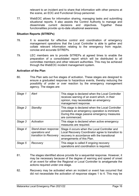relevant to an incident and to share that information with other persons at the scene, an EOC and Functional Group personnel.

77. WebEOC allows for information sharing, managing tasks and submitting situational reports. It also assists the Control Authority to manage and disseminate current decisions and objectives. Together these functionalities provide up-to-date situational awareness.

## <span id="page-15-0"></span>**Situation Reports (SITREPs)**

- 78. It is essential for effective control and coordination of emergency management operations that the Local Controller is able to gather and collate relevant information relating to the emergency from regular, concise and accurate SITREPs.
- 79. LEC members are to provide SITREPs at agreed times to enable the preparation of a consolidated report which will be distributed to all committee members and other relevant authorities. This may be achieved through the WebEOC incident management system.

#### <span id="page-15-1"></span>**Activation of the Plan**

80. This Plan sets out five stages of activation. These stages are designed to ensure a graduated response to hazardous events, thereby reducing the possibility of under or over reaction by the emergency management agency. The stages are:

| Stage 1 | Alert                                                           | This stage is declared when the Local Controller<br>receives warning of an event which, in their<br>opinion, may necessitate an emergency<br>management response.               |
|---------|-----------------------------------------------------------------|---------------------------------------------------------------------------------------------------------------------------------------------------------------------------------|
| Stage 2 | Standby                                                         | This stage is declared when the Local Controller<br>considers an emergency operation is imminent.<br>During this stage passive emergency measures<br>are commenced.             |
| Stage 3 | Activation                                                      | This stage is declared when active emergency<br>measures are required.                                                                                                          |
| Stage 4 | Stand-down response<br>operations and<br>transition to Recovery | Stage 4 occurs when the Local Controller and<br>Local Recovery Coordinator agree to transition to<br>recovery in accordance with the transitional<br>arrangements of this Plan. |
| Stage 5 | Recovery                                                        | This stage is called if ongoing recovery<br>operations and coordination is required.                                                                                            |

- 81. The stages identified above provide for a sequential response. However, it may be necessary because of the degree of warning and speed of onset of an event for either the Regional or Local Controller to amalgamate the actions required under one stage.
- 82. Recovery may be activated when an incident or event has occurred that did not necessitate the activation of response stages 1 to 4. This may be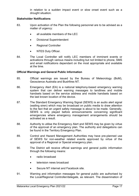in relation to a sudden impact event or slow onset event such as a drought situation.

# <span id="page-16-0"></span>**Stakeholder Notifications**

- 83. Upon activation of the Plan the following personnel are to be advised as a matter of urgency:
	- all available members of the LEC
	- Divisional Superintendent
	- Regional Controller
	- NTES Duty Officer.
- 84. The Local Controller will notify LEC members of imminent events or activations through various means including but not limited to phone, SMS and email notifications dependant on the most appropriate and available at the time.

## <span id="page-16-1"></span>**Official Warnings and General Public Information**

- 85. Official warnings are issued by the Bureau of Meteorology (BoM), Geoscience Australia and Bushfires NT.
- 86. Emergency Alert (EA) is a national telephony-based emergency warning system that can deliver warning messages to landlines and mobile handsets based on the service address and mobile handsets based on the last known location of the device.
- 87. The Standard Emergency Warning Signal (SEWS) is an audio alert signal (wailing siren) which may be broadcast on public media to draw attention to the fact that an urgent safety message is about to be made. Generally, SEWS is only played before announcements concerning significant emergencies where emergency management arrangements should be activated as a result.
- 88. Authority to utilise the Emergency Alert and SEWS may be given by virtue of the approval of an emergency plan. The authority and delegations can be found in the Territory Emergency Plan.
- 89. Control and Hazard Management Authorities may have pre-planned use of SEWS for non-weather related events approved by virtue of the approval of a Regional or Special emergency plan.
- 90. The District will receive official warnings and general public information through the following means:
	- radio broadcast
	- television news broadcast
	- Secure NT internet and Facebook site.
- 91. Warning and information messages for general public are authorised by the Local/Regional Controller/delegate, as relevant. The dissemination of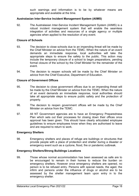such warnings and information is to be by whatever means are appropriate and available at the time.

# <span id="page-17-0"></span>**Australasian Inter-Service Incident Management System (AIIMS)**

92. The Australasian Inter-Service Incident Management System (AIIMS) is a robust incident management system that will enable the seamless integration of activities and resources of a single agency or multiple agencies when applied to the resolution of any event.

# <span id="page-17-1"></span>**Closure of Schools**

- 93. The decision to close schools due to an impending threat will be made by the Chief Minister on advice from the TEMC. When the nature of an event demands an immediate response, local authorities will take the appropriate steps to ensure the safety to the public. This action may include the temporary closure of a school to begin preparations, pending formal closure of the school by the Chief Minister for the remainder of the event.
- 94. The decision to reopen schools will be made by the Chief Minister on advice from the Chief Executive, Department of Education.

### <span id="page-17-2"></span>**Closure of Government Offices**

- 95. The decision to close government offices due to an impending threat will be made by the Chief Minister on advice from the TEMC. When the nature of an event demands an immediate response, local authorities should take all appropriate steps to ensure public safety and the protection of property.
- 96. The decision to reopen government offices will be made by the Chief Minister on advice from the TEMC.
- 97. All NT Government agencies are to have an Emergency Preparedness Plan which sets out their processes for closing down their offices once approval has been given. This should have clearly articulated employee guidelines to ensure employees know when they are authorised to leave and are required to return to work.

# <span id="page-17-3"></span>**Emergency Shelters**

98. Emergency shelters and places of refuge are buildings or structures that provide people with a place of protection and shelter during a disaster or emergency event such as a cyclone, flood, fire or pandemic outbreak.

#### <span id="page-17-4"></span>**Emergency Shelters/Strong Buildings Locations**

99. Those whose normal accommodation has been assessed as safe are to be encouraged to remain in their homes to reduce the burden on emergency shelters. However once emergency shelters are opened, no person is to be refused entry. Persons with special needs, the aged, the infirm and persons under the influence of drugs or alcohol are to be assessed by the shelter management team upon entry in to the emergency shelter.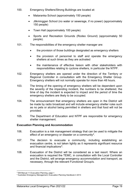- 100. Emergency Shelters/Strong Buildings are located at:
	- Mataranka School (approximately 150 people)
	- Jilkminggan School (no water or sewerage, if no power) (approximately 150 people)
	- Town Hall (approximately 100 people)
	- Sports and Recreation Grounds (Rodeo Ground) (approximately 50 people).
- 101. The responsibilities of the emergency shelter manager are:
	- the provision of those buildings designated as emergency shelters
	- the provision of personnel to staff and operate the emergency shelters at such times as they are activated
	- the maintenance of effective liaison with other stakeholders with responsibilities relating to cyclone shelters, in particular the NTPF.
- 102. Emergency shelters are opened under the direction of the Territory or Regional Controller in consultation with the Emergency Shelter Group. Emergency shelters will not normally operate for more than 48 hours.
- 103. The timing of the opening of emergency shelters will be dependent upon the severity of the impending incident, the numbers to be sheltered, the time of day the incident is expected to impact and the period of time the emergency shelters are likely to be occupied.
- 104. The announcement that emergency shelters are open in the District will be made by radio broadcast and will include emergency shelter rules such as no pets or alcohol being permitted in shelters and that food will not be provided.
- 105. The Department of Education and NTPF are responsible for emergency shelter management.

# <span id="page-18-0"></span>**Evacuation Planning and Accommodation**

- 106. Evacuation is a risk management strategy that can be used to mitigate the effect of an emergency or disaster on a community<sup>[4](#page-18-1)</sup>.
- 107. The decision to evacuate a community, including establishing an evacuation centre, is not taken lightly as it represents significant resource and financial implications<sup>[5](#page-18-2)</sup>.
- 108. Evacuation of the District will be considered as a last resort. Where an evacuation is required the TEMC, in consultation with the Local Controller and the District, will arrange emergency accommodation and transport, as necessary, through the relevant Functional Group/s.

<sup>&</sup>lt;u>.</u> <sup>4</sup> EM Manual 11 Evacuation Planning, page 1

<span id="page-18-2"></span><span id="page-18-1"></span><sup>5</sup> Australian Emergency Management, Evacuation Planning Handbook 4 2013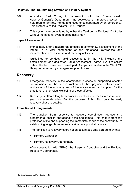# <span id="page-19-0"></span>**Register. Find. Reunite Registration and Inquiry System**

- 109. Australian Red Cross, in partnership with the Commonwealth Attorney-General's Department, has developed an improved system to help reunite families, friends and loved ones separated by an emergency. This system is called Register. Find. Reunite.
- 110. This system can be initiated by either the Territory or Regional Controller without the national system being activated<sup>6</sup>.

## <span id="page-19-1"></span>**Impact Assessment**

- 111. Immediately after a hazard has affected a community, assessment of the impact is a vital component of the situational awareness and implementation of response and recovery activities.
- 112. Guidelines to conduct rapid assessments in the NT, including the establishment of a dedicated Rapid Assessment Team/s (RAT) to collect data in the field have been developed. A copy is available in the WebEOC library for emergency management practitioners.

# <span id="page-19-2"></span>**Recovery**

- 113. Emergency recovery is the coordination process of supporting affected communities in the reconstruction of the physical infrastructure, restoration of the economy and of the environment, and support for the emotional and physical wellbeing of those affected.
- 114. Recovery is often a long term process which can be measured in months, years or even decades. For the purpose of this Plan only the early recovery phase is detailed.

# <span id="page-19-3"></span>**Transitional Arrangements**

- 115. The transition from response to recovery coordination represents a fundamental shift in operational aims and tempo. This shift is from the protection of life and supporting the immediate needs of the community, to establishing longer term, more sustainable support structures.
- 116. The transition to recovery coordination occurs at a time agreed to by the:
	- Territory Controller
	- Territory Recovery Coordinator.

After consultation with TEMC, the Regional Controller and the Regional Recovery Coordinator.

<span id="page-19-4"></span> $\overline{\phantom{a}}$ <sup>6</sup> Territory Emergency Plan Section 4.17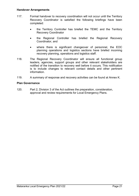## <span id="page-20-0"></span>**Handover Arrangements**

- 117. Formal handover to recovery coordination will not occur until the Territory Recovery Coordinator is satisfied the following briefings have been completed:
	- the Territory Controller has briefed the TEMC and the Territory Recovery Coordinator
	- the Regional Controller has briefed the Regional Recovery Coordinator, and
	- where there is significant changeover of personnel, the EOC planning operations and logistics sections have briefed incoming recovery planning, operations and logistics staff.
- 118. The Regional Recovery Coordinator will ensure all functional group leaders, agencies, support groups and other relevant stakeholders are notified of the transition to recovery well before it occurs. This notification is to include changes to relevant contact details and other pertinent information.
- 119. A summary of response and recovery activities can be found at Annex K.

#### <span id="page-20-1"></span>**Plan Governance**

120. Part 2, Division 3 of the Act outlines the preparation, consideration, approval and review requirements for Local Emergency Plans.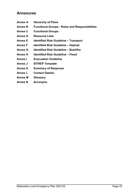# <span id="page-21-0"></span>**Annexures**

- **Annex A Hierarchy of Plans**
- **Annex B Functional Groups - Roles and Responsibilities**
- **Annex C Functional Groups**
- **Annex D Resource Lists**
- **Annex E Identified Risk Guideline – Transport**
- **Annex F Identified Risk Guideline – Hazmat**
- **Annex G Identified Risk Guideline – Bushfire**
- **Annex H Identified Risk Guideline – Flood**
- **Annex I Evacuation Guideline**
- **Annex J SITREP Template**
- **Annex K Summary of Response**
- **Annex L Contact Details**
- **Annex M Glossary**
- **Annex N Acronyms**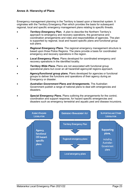# <span id="page-22-0"></span>**Annex A: Hierarchy of Plans**

Emergency management planning in the Territory is based upon a hierarchal system. It originates with the Territory Emergency Plan which provides the basis for subsequent regional, local and specific emergency management plans relating to specific threats.

- **Territory Emergency Plan.** A plan to describe the Northern Territory's approach to emergency and recovery operations, the governance and coordination arrangements and roles and responsibilities of agencies. The plan is supported by regional, local and hazard specific plans and functional group sub plans.
- *Regional Emergency Plans*. The regional emergency management structure is based upon three Police Regions. The plans provide a basis for coordinated emergency and recovery operations in the region.
- *Local Emergency Plans***.** Plans developed for coordinated emergency and recovery operations in the identified locality.
- **Territory Wide Plans.** Plans are not associated with functional group operational plans but cover an all hazard/all agency/all regions approach.
- **Agency/functional group plans.** Plans developed for agencies or functional groups to deliver the functions and operations of their agency during an Emergency or disaster.
- *Australian Government Plans and Arrangements***.** The Australian Government publish a range of national plans to deal with emergencies and disasters.
- *Special Emergency Plans***.** Plans outlining the arrangements for the control, coordination and support response, for hazard specific emergencies and disasters such as emergency terrestrial and aquatic pest and disease incursions.

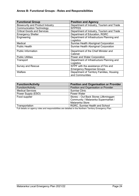# <span id="page-23-0"></span>**Annex B: Functional Groups - Roles and Responsibilities**

| <b>Functional Group</b>                 | <b>Position and Agency</b>                |
|-----------------------------------------|-------------------------------------------|
| <b>Biosecurity and Product Industry</b> | Department of Industry, Tourism and Trade |
| <b>Communication Technology</b>         | <b>NTPFES</b>                             |
| <b>Critical Goods and Services</b>      | Department of Industry, Tourism and Trade |
| <b>Emergency Shelter</b>                | Department of Education, RGRC             |
| Engineering                             | Department of Infrastructure Planning and |
|                                         | Logistics                                 |
| Medical                                 | Sunrise Health Aboriginal Corporation     |
| <b>Public Health</b>                    | Sunrise Health Aboriginal Corporation     |
| <b>Public Information</b>               | Department of the Chief Minister and      |
|                                         | Cabinet                                   |
| <b>Public Utilities</b>                 | Power and Water Corporation               |
| Transport                               | Department of Infrastructure Planning and |
|                                         | Logistics                                 |
| <b>Survey and Rescue</b>                | NTPF with the assistance of Fire and      |
|                                         | <b>Emergency Response Groups</b>          |
| Welfare                                 | Department of Territory Families, Housing |
|                                         | and Communities                           |

| <b>Function/Activity</b> | <b>Position and Organisation or Provider</b> |
|--------------------------|----------------------------------------------|
| <b>Function/Activity</b> | Position and Organisation or Provider        |
| <b>Medical Services</b>  | <b>Sunrise Clinic</b>                        |
| Power Supply (ESO)       | Power Water                                  |
| Food supplier            | Stores - Out Back Stores (Jilkminggan)       |
|                          | Community / Mataranka Supermarket /          |
|                          | Mataranka Store                              |
| Transportation           | <b>RGRC, Sunrise Health and School</b>       |

Full details on agency roles and responsibilities are detailed in the Northern Territory Emergency Plan.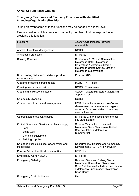# <span id="page-24-0"></span>**Annex C: Functional Groups**

# **Emergency Response and Recovery Functions with Identified Agencies/Organisation/Provider**

During an event some of these functions may be needed at a local level.

Please consider which agency or community member might be responsible for providing this function:

| <b>Functions</b>                                                                                                                    | Agency /Organisation/Provider<br>responsible                                                                                                                          |
|-------------------------------------------------------------------------------------------------------------------------------------|-----------------------------------------------------------------------------------------------------------------------------------------------------------------------|
| Animal / Livestock Management                                                                                                       | <b>RGRC</b>                                                                                                                                                           |
| Anti-looting protection                                                                                                             | <b>NT Police</b>                                                                                                                                                      |
| <b>Banking Services</b>                                                                                                             | Stores with ATMs and Centrelink -<br>Mataranka Hotel / Mataranka<br>Homestead / Mataranka Store /<br>Mataranka United Service Station /<br>Mataranka Supermarket      |
| Broadcasting: What radio stations provide<br>announcements                                                                          | <b>Provider ABC</b>                                                                                                                                                   |
| Clearing of essential traffic routes                                                                                                | <b>RGRC - NT Police</b>                                                                                                                                               |
| Clearing storm water drains                                                                                                         | <b>RGRC / Power Water</b>                                                                                                                                             |
| Clothing and Household Items                                                                                                        | Stores - Mataranka Store / Mataranka<br>Supermarket                                                                                                                   |
| <b>Community Clean Up</b>                                                                                                           | <b>RGRC</b>                                                                                                                                                           |
| Control, coordination and management                                                                                                | NT Police with the assistance of other<br>Government departments and regional<br>councils. Other key stake holders may<br>also be involved.                           |
| Coordination to evacuate public                                                                                                     | NT Police with the assistance of other<br>key state holders.                                                                                                          |
| Critical Goods and Services (protect/resupply)<br>Food<br><b>Bottle Gas</b><br><b>Camping Equipment</b><br><b>Building supplies</b> | Stores - Mataranka Homestead /<br>Mataranka Store / Mataranka United<br>Service Station / Mataranka<br>Supermarket                                                    |
| Damaged public buildings: Coordination and<br>inspections                                                                           | Department of Housing and Community<br>Development/ RGRC / PowerWater                                                                                                 |
| Disaster Victim Identification capability                                                                                           | <b>NT Police</b>                                                                                                                                                      |
| <b>Emergency Alerts / SEWS</b>                                                                                                      | <b>NT Police</b>                                                                                                                                                      |
| <b>Emergency Catering</b>                                                                                                           | Relevant Store and Fishing Club -<br>Mataranka Homestead / Mataranka<br>Store / Mataranka United Service Station<br>/ Mataranka Supermarket / Mataranka<br>Road House |
| <b>Emergency food distribution</b>                                                                                                  | <b>NA</b>                                                                                                                                                             |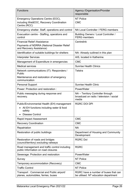| <b>Functions</b>                                                                                               | <b>Agency /Organisation/Provider</b><br>responsible                                    |
|----------------------------------------------------------------------------------------------------------------|----------------------------------------------------------------------------------------|
| Emergency Operations Centre (EOC),<br>including WebEOC, Recovery Coordination<br>Centre (RCC)                  | <b>NT Police</b><br><b>CMC</b>                                                         |
| Emergency shelter. Staff, operations and control                                                               | NA Local Controller / FERG members                                                     |
| Evacuation centre - Staffing, operations and<br>control                                                        | Building Owners / Local Controller /<br><b>FERG</b> members                            |
| <b>Financial Relief /Assistance</b><br>Payments of NDRRA (National Disaster Relief<br>and Recovery Assistance) | Centrelink                                                                             |
| Identification of suitable buildings for shelters                                                              | NA- Already outlined in this plan                                                      |
| <b>Interpreter Services</b>                                                                                    | AIS, located in Katherine.                                                             |
| Management of Expenditure in emergencies                                                                       | <b>CMC</b>                                                                             |
| <b>Medical services</b>                                                                                        | <b>Sunrise Health Clinics</b>                                                          |
| Network communications (IT): Responders /<br>Public                                                            | <b>Telstra</b>                                                                         |
| Maintenance and restoration of emergency<br>communication                                                      |                                                                                        |
| <b>Personal Support</b>                                                                                        | <b>Sunrise Health Clinic</b>                                                           |
| Power: Protection and restoration:                                                                             | PowerWater                                                                             |
| Public messaging during response and<br>recovery.                                                              | NA - Territory Controller through<br>broadcast on radio / television / social<br>media |
| Public/Environmental Health (EH) management                                                                    | <b>RGRC DOI DPI</b>                                                                    |
| All EH functions including water & food<br>safety                                                              |                                                                                        |
| <b>Disease Control</b>                                                                                         |                                                                                        |
| <b>Rapid Impact Assessment</b>                                                                                 | <b>CMC</b>                                                                             |
| <b>Recovery Coordination</b>                                                                                   | <b>CMC</b>                                                                             |
| Repatriation                                                                                                   | <b>NA</b>                                                                              |
| Restoration of public buildings                                                                                | Department of Housing and Community<br>Development                                     |
| Restoration of roads and bridges<br>(council/territory) excluding railways                                     | <b>RGRC Dol</b>                                                                        |
| Road management and traffic control including<br>public Information on road closures                           | <b>RGRC</b>                                                                            |
| Sewerage: Protection and restoration                                                                           | PowerWater                                                                             |
| Survey                                                                                                         | <b>NT Police</b>                                                                       |
| Temporary accommodation (Recovery)                                                                             | <b>CMC</b>                                                                             |
| <b>Traffic Control</b>                                                                                         | <b>NT Police</b>                                                                       |
| Transport: Commercial and Public airport/<br>planes, automobiles, ferries, buses                               | RGRC have a number of buses that can<br>be utilised. NT education department           |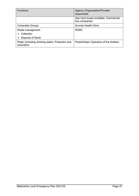| <b>Functions</b>                                                | Agency /Organisation/Provider<br>responsible            |
|-----------------------------------------------------------------|---------------------------------------------------------|
|                                                                 | also have buses available. Commercial<br>bus companies. |
| <b>Vulnerable Groups</b>                                        | <b>Sunrise Health Clinic</b>                            |
| Waste management                                                | <b>RGRC</b>                                             |
| Collection                                                      |                                                         |
| Disposal of Stock                                               |                                                         |
| Water (including drinking water): Protection and<br>restoration | PowerWater/ Operators of the shelters                   |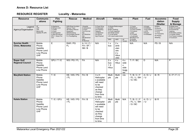# **Annex D: Resource List**

# **RESOURCE REGISTER Locality - Mataranka**

<span id="page-27-0"></span>

| <b>Resource</b>                              | <b>Communic</b>                                                        | <b>Fire</b>                                                                                                            | <b>Rescue</b>                                                                                                                           | <b>Medical</b>                                                                                                                 | <b>Aircraft</b>                                                                                                          |                                                                                                | <b>Vehicles</b>                                       |                                        | <b>Plant</b>                                                                                                                                        | <b>Fuel</b>                                                                     | <b>Accommo</b>                                                                            | Food                                                                                                                                           |
|----------------------------------------------|------------------------------------------------------------------------|------------------------------------------------------------------------------------------------------------------------|-----------------------------------------------------------------------------------------------------------------------------------------|--------------------------------------------------------------------------------------------------------------------------------|--------------------------------------------------------------------------------------------------------------------------|------------------------------------------------------------------------------------------------|-------------------------------------------------------|----------------------------------------|-----------------------------------------------------------------------------------------------------------------------------------------------------|---------------------------------------------------------------------------------|-------------------------------------------------------------------------------------------|------------------------------------------------------------------------------------------------------------------------------------------------|
|                                              | ations                                                                 | <b>Fighting</b>                                                                                                        |                                                                                                                                         |                                                                                                                                |                                                                                                                          |                                                                                                |                                                       |                                        |                                                                                                                                                     |                                                                                 | dation                                                                                    | <b>Supply</b>                                                                                                                                  |
|                                              |                                                                        |                                                                                                                        |                                                                                                                                         |                                                                                                                                |                                                                                                                          |                                                                                                |                                                       |                                        |                                                                                                                                                     |                                                                                 | /Shelter                                                                                  | & Storage                                                                                                                                      |
| Legend<br>Agency/Organisation                | HF<br><b>UHF</b><br><b>VHF</b><br>Marine (M)<br>Satellite Ph (SP)      | A=Appliance<br>D=Dropon Unit<br>T=Trailer<br>F=Foam<br>E=Extinguisher<br>(4.5kg and above)<br>GFU - Grass Fire<br>Unit | <b>RAR=Road Accident</b><br>Rescue Team<br><b>HE=Heavy Rescue</b><br>Equipment<br>WS=Workshop<br>PG=Portable Genset<br>FL=Floodlighting | =Hospital<br>A=Ambulance<br>C=Clinic<br>F/A=First Aid<br>Kits<br>SF=Stretcher<br>(fld)<br>SB=Stretcher-<br>(bsk)<br>B=Blankets | F=Fixed Wing<br>H=Helicopter<br>(oo)=Seating<br>Capacity<br>(s)=Stretcher<br>$(w)$ =Winch<br>(kg)=Payload                | U=Utility<br>B=Bus (seating)<br>T=Truck (capacity)<br>WT=Water tanker<br>FT=Fuel tanker<br>2WD | S=Sedan/Stationwagon<br>LW=Liquid waste tanker<br>4WD | All<br>Terrain                         | T=Tractor<br>B=Bulldozer<br>C=Crane (mobile)<br>F=Frontend<br>Loader<br>F/L=Forklift<br>L=Lowloader<br>B/H=Back hoe<br>G=Grader<br><b>BC=Bobcat</b> | A=Avgas<br>D=Distillate<br>J=Jet aviation<br>$L = LPG$<br>S=Super<br>U=Unleaded | B=Beds<br>R=Rooms<br>C=Caravans<br>$T = Tents$<br>Tp=Tarpaulins<br>Ps=Plastic<br>Sheeting | R=Retail store<br>B=Bulk dry goods<br>K=Commercial<br>Catering<br>P=Portable cooking<br>F=Freezer (fixed)<br>Fm=Freezer (mobile)<br>C=Coolroom |
| <b>Sunrise Health</b><br>Clinic, Mataranka   | Mobile<br>Phone<br>Satellite<br>Phone Land<br>Line Phone<br><b>UHF</b> | $\mathsf E$                                                                                                            | RAR / PG<br><b>FL</b>                                                                                                                   | A/H/C/<br>FA/SF/<br>SB/B                                                                                                       | N/A                                                                                                                      | 1 x<br>bus                                                                                     | 2x<br>amb<br>ulan<br>ces<br>2x<br>Hilux<br>utes       |                                        | N/A                                                                                                                                                 | N/A                                                                             | PS/B                                                                                      | N/A                                                                                                                                            |
| <b>Roper Gulf</b><br><b>Regional Council</b> | Mobile<br>Phone<br>Satellite<br>Phone Land<br>Line Phone               | GFU/T/E                                                                                                                | WS/PG/FL                                                                                                                                | FA                                                                                                                             | N/A                                                                                                                      | 2x<br>bus<br>1 X<br>Hilux                                                                      | 4x<br>Hilux                                           | 4x<br>side<br>x<br>side<br>bugg<br>ies | T / F / BC                                                                                                                                          | D                                                                               | N/A                                                                                       | P                                                                                                                                              |
| <b>Maryfield Station</b>                     | Mobile<br>Phone<br>Satellite<br>Phone Land<br>Line Phone<br><b>UHF</b> | T/E                                                                                                                    | HE/WS/PG<br>/FL                                                                                                                         | FA/B                                                                                                                           | 3xH<br>Helicopter<br>s available<br>will need<br>to be<br>checked<br>as they<br>change<br>from time<br>to time.          | Multi<br>ple                                                                                   | Multi<br>ple                                          | n/a                                    | T/B/C/F<br>/FL/L/BH<br>/ G / BC                                                                                                                     | A/D/J<br>U                                                                      | B/R                                                                                       | K/P/F/C                                                                                                                                        |
| <b>Kalala Station</b>                        | Mobile<br>Phone<br>Satellite<br>Phone Land<br>Line Phone<br><b>UHF</b> | T/E/GFU                                                                                                                | HE/WS/PG<br>/FL                                                                                                                         | FA/B                                                                                                                           | $4 \times H$<br>Helicopter<br>s available<br>will need<br>to be<br>checked<br>as they<br>change<br>from time<br>to time. | Multi<br>ple                                                                                   | Multi<br>ple                                          | N/A                                    | T/B/C/F<br>/FL/L/BH<br>/G/BC                                                                                                                        | A/D/J<br>U                                                                      | B/R                                                                                       |                                                                                                                                                |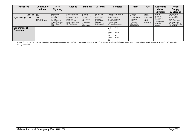| <b>Resource</b>                   | <b>Communic</b>                                                   | <b>Fire</b>                                                                                                            | <b>Rescue</b>                                                                                                                                  | <b>Medical</b>                                                                                          | <b>Aircraft</b>                                                                                           |                                                                   | <b>Vehicles</b>                                                      | <b>Plant</b>                                                                                                        | <b>Fuel</b>                                                                     | <b>Accommo</b>                                                                            | Food                                                                                                                                           |
|-----------------------------------|-------------------------------------------------------------------|------------------------------------------------------------------------------------------------------------------------|------------------------------------------------------------------------------------------------------------------------------------------------|---------------------------------------------------------------------------------------------------------|-----------------------------------------------------------------------------------------------------------|-------------------------------------------------------------------|----------------------------------------------------------------------|---------------------------------------------------------------------------------------------------------------------|---------------------------------------------------------------------------------|-------------------------------------------------------------------------------------------|------------------------------------------------------------------------------------------------------------------------------------------------|
|                                   | ations                                                            | <b>Fighting</b>                                                                                                        |                                                                                                                                                |                                                                                                         |                                                                                                           |                                                                   |                                                                      |                                                                                                                     |                                                                                 | dation                                                                                    | <b>Supply</b>                                                                                                                                  |
|                                   |                                                                   |                                                                                                                        |                                                                                                                                                |                                                                                                         |                                                                                                           |                                                                   |                                                                      |                                                                                                                     |                                                                                 | /Shelter                                                                                  | & Storage                                                                                                                                      |
| Legend<br>Agency/Organisation     | HF<br><b>UHF</b><br><b>VHF</b><br>Marine (M)<br>Satellite Ph (SP) | A=Appliance<br>D=Dropon Unit<br>T=Trailer<br>F=Foam<br>E=Extinguisher<br>(4.5kg and above)<br>GFU - Grass Fire<br>Unit | <b>RAR=Road Accident</b><br>Rescue Team<br><b>HE=Heavy Rescue</b><br>Equipment<br>WS=Workshop<br><b>PG=Portable Genset</b><br>FL=Floodlighting | =Hospital<br>A=Ambulance<br>C=Clinic<br>F/A=First Aid<br>Kits<br>SF=Stretcher<br>(fId)<br>SB=Stretcher- | F=Fixed Wing<br>H=Helicopter<br>(oo)=Seating<br>Capacity<br>(s)=Stretcher<br>$(w)$ =Winch<br>(kg)=Payload | U=Utility<br>B=Bus (seating)<br>WT=Water tanker<br>FT=Fuel tanker | S=Sedan/Stationwagon<br>T=Truck (capacity)<br>LW=Liquid waste tanker | T=Tractor<br>B=Bulldozer<br>C=Crane (mobile)<br>F=Frontend<br>Loader<br>F/L=Forklift<br>L=Lowloader<br>B/H=Back hoe | A=Avgas<br>D=Distillate<br>J=Jet aviation<br>$L = LPG$<br>S=Super<br>U=Unleaded | B=Beds<br>R=Rooms<br>C=Caravans<br>$T = Tents$<br>Tp=Tarpaulins<br>Ps=Plastic<br>Sheeting | R=Retail store<br>B=Bulk dry goods<br>K=Commercial<br>Catering<br>P=Portable cooking<br>F=Freezer (fixed)<br>Fm=Freezer (mobile)<br>C=Coolroom |
| Department of<br><b>Education</b> |                                                                   |                                                                                                                        |                                                                                                                                                |                                                                                                         |                                                                                                           | 2x<br>12<br>seat<br>er<br>buss<br>es                              | 1 x<br>22<br>seat<br>er<br>bus                                       |                                                                                                                     |                                                                                 |                                                                                           |                                                                                                                                                |

*Where Functional Groups are identified, those agencies are responsible for ensuring that a record of resources available during an event are completed and made available to the Local Controller during an event*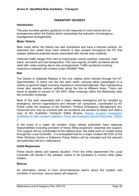# **TRANSPORT INCIDENT**

### <span id="page-29-0"></span>**Introduction**

This plan provides generic guidance on the response to road marine and air emergencies within the District which necessitate the activation of emergency management arrangements.

## **Motor Vehicle**

Main roads within the District are well maintained and have a bitumen surface. An extensive four wheel drive track network is also present throughout the NT that creates additional potential issues associated with remote area incidents.

Vehicular traffic ranges from cars to motorcycles, tourist coaches, caravans, road trains, and stock and fuel transporters. The vast majority of traffic accidents will be dealt with under existing day to day arrangements. Traffic accidents involving hazardous materials are covered under HAZMAT Risk.

#### **Rail**

The Darwin to Adelaide Railway is the only railway which transits through the NT. Approximately 12 trains use the line each week, carrying either passengers or a variety of general freight including hazardous chemicals/materials. Rail maintenance crews also operate various vehicles along the line at different times. Trains can travel at speeds in excess of 100 KPH. Most crossings within the Mataranka area are controlled crossings.

Most of the work associated with a major railway emergency will be handled by emergency service organisations and relevant rail companies, coordinated by NT Police under the auspices of the *Northern Territory Emergency Management Act.* Personnel who may be involved with rail accidents are advised to obtain and read a copy of the Australian Transport Safety Bureau**,** [Railway Accident Investigation](https://www.atsb.gov.au/media/47957/railway_guide.pdf)  [Guidelines for Rail Transport Operators, Police and Emergency Service Personnel." Edition](https://www.atsb.gov.au/media/47957/railway_guide.pdf)  [3.](https://www.atsb.gov.au/media/47957/railway_guide.pdf)

In the event of a major rail incident, many railway authorities have response responsibilities including provision of heavy lifting equipment, expertise and support. This support will be coordinated at the highest level, the initial point of contact being through the Local Controller. It is anticipated that for a major incident the EOC at the Peter McAulay Centre or Katherine Police Station will be activated and the relevant rail authorities will be in attendance

#### **Initial Responses**

Police would attend and assess situation. From the initial assessment the Local Controller will decide if the situation needs to be escalated to involve other stake holders.

#### **Rescue**

As information comes in from reconnaissance teams about the location and condition of survivors, rescue teams will respond.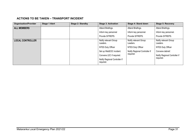# **ACTIONS TO BE TAKEN – TRANSPORT INCIDENT**

| <b>Organisation/Provider</b> | <b>Stage 1 Alert</b> | <b>Stage 2: Standby</b> | <b>Stage 3: Activation</b>                 | Stage 4: Stand down               | <b>Stage 5: Recovery</b>          |
|------------------------------|----------------------|-------------------------|--------------------------------------------|-----------------------------------|-----------------------------------|
| <b>ALL MEMBERS</b>           |                      |                         | Attend Briefings.                          | Attend Briefings.                 | Attend Briefings.                 |
|                              |                      |                         | Inform key personnel                       | Inform key personnel.             | Inform key personnel.             |
|                              |                      |                         | Provide SITREPS.                           | Provide SITREPS.                  | Provide SITREPS.                  |
| <b>LOCAL CONTROLLER</b>      |                      |                         | Notify relevant Group<br>Leaders.          | Notify relevant Group<br>Leaders. | Notify relevant Group<br>Leaders. |
|                              |                      |                         | <b>NTES Duty Officer</b>                   | NTES Duty Officer                 | NTES Duty Officer                 |
|                              |                      |                         | Set up WebEOC incident.                    | Notify Regional Controller if     | Convene debrief.                  |
|                              |                      |                         | Convene LEC if required.                   | required.                         | Notify Regional Controller if     |
|                              |                      |                         | Notify Regional Controller if<br>required. |                                   | required.                         |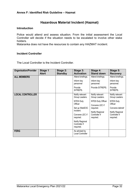# **Hazardous Material Incident (Hazmat)**

### <span id="page-31-0"></span>**Introduction**

Police would attend and assess situation. From the initial assessment the Local Controller will decide if the situation needs to be escalated to involve other stake holders.

Mataranka does not have the resources to contain any HAZMAT incident.

## **Incident Controller**

The Local Controller is the Incident Controller.

| <b>Organisation/Provider</b> | Stage 1<br><b>Alert</b> | Stage 2:<br><b>Standby</b> | Stage 3:<br><b>Activation</b>                           | Stage 4:<br><b>Stand down</b>                                     | Stage 5:<br><b>Recovery</b>                              |
|------------------------------|-------------------------|----------------------------|---------------------------------------------------------|-------------------------------------------------------------------|----------------------------------------------------------|
| <b>ALL MEMBERS</b>           |                         |                            | Attend briefings.<br>Inform key<br>personnel<br>Provide | Attend briefings.<br>Inform key<br>personnel.<br>Provide SITREPS. | Attend briefings.<br>Inform key<br>personnel.<br>Provide |
|                              |                         |                            | SITREPS.                                                |                                                                   | SITREPS.                                                 |
| <b>LOCAL CONTROLLER</b>      |                         |                            | Notify relevant<br>Group Leaders.                       | Notify relevant<br>Group Leaders.                                 | Notify relevant<br>Group Leaders.                        |
|                              |                         |                            | <b>NTES Duty</b>                                        | NTES Duty Officer                                                 | NTES Duty                                                |
|                              |                         |                            | Officer                                                 | Convene LEC if                                                    | Officer                                                  |
|                              |                         |                            | Set up WebEOC<br>incident.                              | required.                                                         | Convene debrief                                          |
|                              |                         |                            | Convene LEC if<br>required.                             | Notify Regional<br>Controller if<br>required.                     | Notify Regional<br>Controller if<br>required.            |
|                              |                         |                            | Notify Regional<br>Controller if<br>required.           |                                                                   |                                                          |
| <b>FERG</b>                  |                         |                            | As advised by<br>Local Controller                       |                                                                   |                                                          |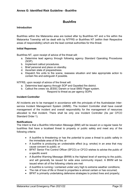# **Bushfire**

### <span id="page-32-0"></span>**Introduction**

Bushfires within the Mataranka area are looked after by Bushfires NT and a fire within the Mataranka Township will be dealt with by NTFRS or Bushfires NT (within their Respective areas of responsibility) which are the lead combat authorities for this threat.

#### **Initial Reponses**

Bushfires NT, upon receipt of advice of fire threat will:

- a. Determine lead agency through following agency Standard Operating Procedures (SOP).
- b. Implement callout procedures.
- c. Brief personal and place on standby.
- d. Ascertain state of preparedness.
- e. Dispatch fire units to fire scene, reassess situation and take appropriate action to contain fire and extinguish if possible.

NTFRS, upon receipt of advice of fire threat will:

- a. Determine lead agency through SOP and Gazetted fire district.
- b. Callout fire crews via JESSC Darwin or local SMS/ Pager system. Respond to threat as per agency SOPs

#### **Incident Controller**

All incidents are to be managed in accordance with the principals of the Australasian Interservice Incident Management System (AIIMS). The Incident Controller shall have overall management of the incident and overall responsibility for the management of resources allocated to that incident. There shall be only one Incident Controller (As per CFCO Standard Order 1).

#### **Notifications**

The Intent is that a Bushfire Information Message (BIM) will be issued on a regular basis for bushfires that have a localised threat to property or public safety and meet any of the following criteria:

- A bushfire is threatening or has the potential to pose a threat to public safety in the immediate area of the fire; or
- A bushfire is producing an undesirable effect (e.g. smoke) in an area that may cause concern to public; or
- BFNT Senior Fire Control Officer (SFCO) or CFCO wishes to advise the public of a specific event
- A Bushfire Warning Message (BWM) is the highest level of warning to the public, and will generally be issued for wide area community impact. A BWM will be issued when all of the following criteria are met:
- A bushfire is running / contained under very high to extreme weather conditions;
- The risk of loss of life or threat to properties is almost certain or has occurred;
- BFNT is primarily undertaking defensive strategies to protect lives and property;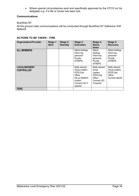• Where special circumstances exist and specifically approved by the CFCO (or his delegate) e.g. If a life or house has been lost.

#### **Communications**

### Bushfires NT

All fire ground radio communications will be conducted through Bushfires NT Katherine VHF Network.

# **ACTIONS TO BE TAKEN – FIRE**

| <b>Organisation/Provider</b>               | <b>Stage 1</b><br><b>Alert</b> | Stage 2:<br><b>Standby</b> | Stage 3:<br><b>Activation</b>                                                                                                 | Stage 4:<br><b>Stand</b><br>down                                                                   | Stage 5:<br><b>Recovery</b>                                                         |
|--------------------------------------------|--------------------------------|----------------------------|-------------------------------------------------------------------------------------------------------------------------------|----------------------------------------------------------------------------------------------------|-------------------------------------------------------------------------------------|
| <b>ALL MEMBERS</b>                         |                                |                            | Attend briefings.<br>Inform key<br>personnel<br>Provide<br>SITREPS.                                                           | Attend<br>briefings.<br>Inform key<br>personnel<br>Provide<br>SITREPS.                             | Attend briefings.<br>Inform key<br>personnel<br>Provide<br>SITREPS.                 |
| <b>LOCAL/INCIDENT</b><br><b>CONTROLLER</b> |                                |                            | Notify relevant<br>Group Leaders.<br><b>NTES Duty</b><br>Officer<br>Set up WebEOC<br>incident.<br>Convene LEC if<br>required. | Notify relevant<br>Group<br>Leaders.<br><b>NTES Duty</b><br>Officer<br>Convene LEC<br>if required. | Notify relevant<br>Group Leaders.<br><b>NTES Duty</b><br>Officer<br>Convene debrief |
| <b>FERG</b>                                |                                |                            |                                                                                                                               |                                                                                                    |                                                                                     |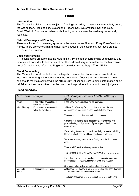# **Flood**

#### <span id="page-34-0"></span>**Introduction**

The Mataranka district may be subject to flooding caused by monsoonal storm activity during the wet season. Flooding occurs along the Roper River, Waterhouse River and Elsey Creek/Warlock Ponds area. When such flooding occurs access by road may be severely restricted.

#### **Natural Drainage and Flooding**

There are limited flood warning systems in the Waterhouse River and Elsey Creek/Warlock Ponds. There are several rain and river level gauges in the catchment, but these are not telemetered at present.

#### **Localised Flooding**

If it is considered probable that the Mataranka, Jilkminggan or surrounding communities and facilities will flood due to heavy rainfall or other extraordinary circumstances, the Mataranka Local Controller is to inform the Regional Controller and the Duty Officer, NTES.

#### **Flood Forecasting**

The Mataranka Local Controller will be largely dependent on knowledge available at the local level in making judgements about the potential for flooding to occur. However, he or she should maintain contact with the NTES Duty Officer and BoM to obtain information about rainfall extent and intensities over the catchment to provide a firm basis for such judgement.

| <b>Advise Levels</b> | Description-                                          | Public Messaging Broadcast with BOM Flood Message<br>Advise                                                                                                                                                                                                                                                                                                                        |
|----------------------|-------------------------------------------------------|------------------------------------------------------------------------------------------------------------------------------------------------------------------------------------------------------------------------------------------------------------------------------------------------------------------------------------------------------------------------------------|
| Watch                | Flood waters are contained<br>within the river banks. | Flood Early Warning system will be activated.                                                                                                                                                                                                                                                                                                                                      |
| Minor Flooding       | Flood waters are contained<br>within the river banks. | A Minor Floor Warning for  has now been declared.<br>All Residents are advised to listen carefully to this advice.<br>The river at has reached  metres.<br>Consider your actions. Take necessary steps to ensure your<br>personal safety, and protection of your property. Stock up on<br>essential items.<br>If evacuating, take essential medicines, baby necessities, clothing, |
|                      |                                                       | blankets, a torch and valuable personal papers with you.<br>We advise you stay with friends or family not in the flood prone<br>area.<br>There are NO public shelters open at this time.                                                                                                                                                                                           |
|                      |                                                       | This has been a MINOR FLOOD WARNING FOR<br>If you decide to evacuate, you should take essential medicines,<br>baby necessities, clothing, blankets, a torch and valuable<br>Stay tuned to this station for further information and advice.                                                                                                                                         |
| Moderate<br>Flooding | Flooding will occur along:                            | A Moderate Flood Warning for  has now been declared.<br>All residents - listen carefully to this advice.<br>The height of the river at  is at  metres and                                                                                                                                                                                                                          |

#### **Flooding Advice**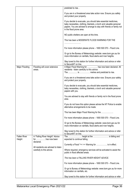|                               |                                                                  | predicted to rise. .                                                                                                                                                                                                                        |
|-------------------------------|------------------------------------------------------------------|---------------------------------------------------------------------------------------------------------------------------------------------------------------------------------------------------------------------------------------------|
|                               |                                                                  | If you are in a threatened area take action now. Ensure you safety<br>and protect your property.                                                                                                                                            |
|                               |                                                                  | If you decide to evacuate, you should take essential medicines,<br>baby necessities, clothing, blankets, a torch and valuable personal<br>papers. You are advised to arrange to stay with friends or family not<br>in the flood prone area. |
|                               |                                                                  | NO public shelters are open at this time.                                                                                                                                                                                                   |
|                               |                                                                  | This has been a MODERATE FLOOD WARNING FOR THE                                                                                                                                                                                              |
|                               |                                                                  | For more information please phone - 1800 500 070 - Flood Line.                                                                                                                                                                              |
|                               |                                                                  | Or go to the Bureau of Meteorology website: www.bom.gov.au for<br>more information on rainfalls, flood alerts and river heights.                                                                                                            |
|                               |                                                                  | Stay tuned to this station for further information and advice or refer<br>to SecureNT on line.                                                                                                                                              |
| Major Flooding                | Flooding will cover extensive<br>areas.                          | A Major Flood Warning for  has now been declared. All<br>residents - listen carefully to this advice.                                                                                                                                       |
|                               |                                                                  | If you are in a threatened area take action now. Ensure your safety<br>and protect your property.                                                                                                                                           |
|                               |                                                                  | If you decide to evacuate, you should take essential medicines,<br>baby necessities, clothing, blankets, a torch and valuable personal<br>papers with you.                                                                                  |
|                               |                                                                  | You are advised to stay with friends or family not in the flood prone<br>area.                                                                                                                                                              |
|                               |                                                                  | If you do not have this option please advise the NT Police to enable<br>alternative arrangements to be made.                                                                                                                                |
|                               |                                                                  | This has been Major Flood Warning for the                                                                                                                                                                                                   |
|                               |                                                                  | For more information please phone - 1800 500 070 - Flood Line.                                                                                                                                                                              |
|                               |                                                                  | Or go to the Bureau of Meteorology website: www.bom.gov.au for<br>more information on rainfalls, flood alerts and river heights.                                                                                                            |
|                               |                                                                  | Stay tuned to this station for further information and advice or refer<br>to SecureNT on line.                                                                                                                                              |
| <b>Fallen River</b><br>Height | A "Falling River Height" Advice<br>for has now been              | expected to continue falling.                                                                                                                                                                                                               |
|                               | declared.                                                        | Currently a Flood *<< >> Warning for  is in effect.                                                                                                                                                                                         |
|                               | All residents are advised to listen<br>carefully to this advice. | Where required, emergency services will be activated to assist the<br>public in flood affected areas.                                                                                                                                       |
|                               |                                                                  | This has been a FALLING RIVER HEIGHT ADVICE.                                                                                                                                                                                                |
|                               |                                                                  | For more information please phone - 1800 500 070 - Flood Line.                                                                                                                                                                              |
|                               |                                                                  | Or go to Bureau of Meteorology website: www.bom.gov.au for more<br>information on rainfalls, etc.                                                                                                                                           |
|                               |                                                                  | Stay tuned to this station for further information and advice or refer                                                                                                                                                                      |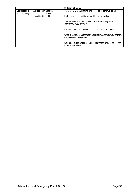|                                 |                                         | to SecureNT online.                                                                              |
|---------------------------------|-----------------------------------------|--------------------------------------------------------------------------------------------------|
| Cancellation of<br>Food Warning | A Flood Warning for the<br>area has now | The  is falling and expected to continue falling.                                                |
|                                 | been CANCELLED.                         | Further broadcasts will be issued if the situation alters.                                       |
|                                 |                                         | This has been a FLOOD WARNING FOR THE Daly River -<br>CANCELLATION ADVICE                        |
|                                 |                                         | For more information please phone - 1800 500 070 - Flood Line.                                   |
|                                 |                                         | Or go to Bureau of Meteorology website: www.bom.gov.au for more<br>information on rainfalls etc. |
|                                 |                                         | Stay tuned to this station for further information and advice or refer<br>to SecureNT on line.   |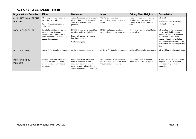# **ACTIONS TO BE TAKEN – Flood**

| <b>Organisation/ Provider</b>          | <b>Minor</b>                                                                                                                                       | <b>Moderate</b>                                                                                                                                                       | <b>Major</b>                                                                                              | <b>Falling River Heights</b>                                                                                         | <b>Cancellation</b>                                                                                                                                                                                                                                 |
|----------------------------------------|----------------------------------------------------------------------------------------------------------------------------------------------------|-----------------------------------------------------------------------------------------------------------------------------------------------------------------------|-----------------------------------------------------------------------------------------------------------|----------------------------------------------------------------------------------------------------------------------|-----------------------------------------------------------------------------------------------------------------------------------------------------------------------------------------------------------------------------------------------------|
| ALL FUNCTIONAL GROUP<br><b>LEADERS</b> | Attending meetings that are called<br>by the local controller.<br>Relay information to other key<br>stake holders                                  | Assist where necessary and ensure<br>all procedures for each location /<br>area to be affected is well<br>prepared.                                                   | Monitor the Flood level and<br>ensure all precautions have been<br>taken.                                 | Prepare for recovery and ensure<br>all rehabilitation measures are put<br>in place at the earliest possible<br>time. | Advise all<br>Persons that were likely to be<br>affected by flooding.                                                                                                                                                                               |
| <b>LOCAL CONTROLLER</b>                | Update Committee members of<br>the Impending situation.<br>Commence Plan and ensure all<br>necessary people are aware and<br>advise of next update | SITREPS to be given to committee<br>members and key stakeholders<br>Ensure all necessary procedures<br>have been updated<br>Continually update                        | SITREPS and update continually<br>Ensure all updates are taking place                                     | Commence plans for rehabilitation<br>to take place                                                                   | Advise all committee members<br>and key stake holders involve<br>other stake holders Government<br>departments to ensure the<br>recovery stage is completed as<br>quickly as possible and people are<br>displaced for the shortest possible<br>time |
| Mataranka Police                       | Advise all Functional group leaders                                                                                                                | Advise all functional group leaders                                                                                                                                   | Advise all functional group leaders.                                                                      | Advise all functional group leaders.                                                                                 | Advise all functional group leaders.                                                                                                                                                                                                                |
| Mataranka FERG<br>members              | Commence assisting all persons in<br>affected areas especially the<br>elderly and those with medical<br>conditions.                                | Ensure elderly and those with<br>medical conditions in affected<br>areas have been moved and<br>ensure people in affected areas<br>are aware of the continued threat. | Ensure all those in affected areas<br>are aware of the threat and ensure<br>they are as safe as possible. | Commence the rehabilitation<br>stage and assist where required.                                                      | Assist those that require to return<br>property, and also assist with<br>people returning to their<br>properties.                                                                                                                                   |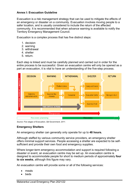# <span id="page-38-0"></span>**Annex I: Evacuation Guideline**

Evacuation is a risk management strategy that can be used to mitigate the effects of an emergency or disaster on a community. Evacuation involves moving people to a safer location, and is usually considered to include the return of the affected community. It is recommended that when advance warning is available to notify the Territory Emergency Management Council.

Evacuation is a complex process that has five distinct steps:

- 1. decision
- 2. warning
- 3. withdrawal
- 4. shelter
- 5. return.

Each step is linked and must be carefully planned and carried out in order for the entire process to be successful. Given an evacuation centre will only be opened as a part an evacuation, it is vital to have an understanding of the five-step process.



*Source: Five stages of Evacuation, Qld Government, 2011.*

# **Emergency Shelters**

An emergency shelter can generally only operate for up to **48 hours.**

Although staffed by various community service providers, an emergency shelter offers minimal support services. People accessing a shelter are expected to be selfsufficient and provide their own food and emergency supplies.

Where longer-term emergency accommodation and support is required following a disaster or event, an evacuation centre may be set up. An evacuation centre is designed to accommodate people for short to medium periods of approximately **four to six weeks**, although this figure may vary.

An evacuation centre will provide some or all of the following services:

- meals
- **beds**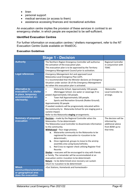- linen
- personal support
- medical services (or access to them)
- assistance accessing finances and recreational activities

An evacuation centre implies the provision of these services in contrast to an emergency shelter, in which people are expected to be self-sufficient.

### **Identified Evacuation Centres**

For further information on evacuation centres / shelters management, refer to the NT Evacuation Centre Guide available on WebEOC.

## **Evacuation Guidelines**

|                                                                                                               | <b>Stage 1 - Decision</b>                                                                                                                                                                                                                                                                                                                                                                                                                                                                                                                                                                                                                                                                                                                                                                                                                                                      |                                                                                          |
|---------------------------------------------------------------------------------------------------------------|--------------------------------------------------------------------------------------------------------------------------------------------------------------------------------------------------------------------------------------------------------------------------------------------------------------------------------------------------------------------------------------------------------------------------------------------------------------------------------------------------------------------------------------------------------------------------------------------------------------------------------------------------------------------------------------------------------------------------------------------------------------------------------------------------------------------------------------------------------------------------------|------------------------------------------------------------------------------------------|
| <b>Authority</b>                                                                                              | The Northern Region Emergency Controller will authorise<br>the activation of the evacuation plan.<br>This evacuation plan is to be approved by the Territory<br>Emergency Management Council prior to activation.                                                                                                                                                                                                                                                                                                                                                                                                                                                                                                                                                                                                                                                              | Regional Controller<br>in conjunction with<br><b>TEMC</b>                                |
| <b>Legal references</b>                                                                                       | <b>Emergency Management Act and approved Local</b><br>Mataranka Local Emergency Plan (LEP).<br>It is recommended that the Minister declares an Emergency<br>Situation under section 18 of the Emergency Management<br>Act when this evacuation plan is activated.                                                                                                                                                                                                                                                                                                                                                                                                                                                                                                                                                                                                              |                                                                                          |
| <b>Alternative to</b><br>evacuation? I.e. shelter<br>in place, temporary<br>accommodation on-<br>site/nearby. | Mataranka School. Approximately 150 people.<br>Jilkminggan School. (no water or sewerage if no<br>power) Approximately 150 people.<br>Town Hall Approximately 100 people.<br>Sports and Recreation Grounds (Rodeo Ground).<br>Approximately 50 people<br>If needed residents will be progressively relocated within<br>the community to Mataranka School for pre staging post a<br>cyclone impact.<br>Refer to the Mataranka staging arrangements.                                                                                                                                                                                                                                                                                                                                                                                                                             | Mataranka<br><b>Local Controller to</b><br>arrange.                                      |
| <b>Summary of proposed</b><br>evacuation                                                                      | <b>Decision</b> – made by the Regional Controller when the<br>Mataranka <to be="" determined=""><br/>The Mataranka Local Controller to disseminate information<br/>to the community.<br/>Withdrawal - four stage process;<br/>Mataranka community to the Mataranka to be<br/>а.<br/>registered for evacuation to <location be<br="" to="">determined&gt;;<br/><b>b.</b> Once registered, groups to move to the airstrip<br/>assembly area using buses/vehicles;<br/>Red Cross to register check utilising Register Find<br/>c.<br/>Reunite.<br/>Shelter - evacuees will be encouraged to stay with friends<br/>or family. The remainder will be accommodated at an<br/>evacuation centre <location be="" determined="" to=""><br/>Return - to be determined once recovery can sustain<br/>return to <location be="" determined="" to=""></location></location></location></to> | The decision will be<br>informed by<br>additional advice<br>from BOM up to<br>that time. |
| <b>Which</b><br>communities/outstations<br>or geographical area<br>does the evacuation                        | <out and="" homelands="" homesteads="" stations,=""></out>                                                                                                                                                                                                                                                                                                                                                                                                                                                                                                                                                                                                                                                                                                                                                                                                                     |                                                                                          |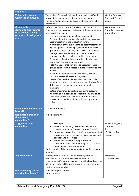| apply to?                                                                                            |                                                                                                                                                                                                                                                                                                                                                                                                                                                                                                                                                                                                                                                                                                                                                                                                                                                                                                                                                                                                                                                                                                                                                                                                                                                                                                                                                                                                                                  |                                                                      |
|------------------------------------------------------------------------------------------------------|----------------------------------------------------------------------------------------------------------------------------------------------------------------------------------------------------------------------------------------------------------------------------------------------------------------------------------------------------------------------------------------------------------------------------------------------------------------------------------------------------------------------------------------------------------------------------------------------------------------------------------------------------------------------------------------------------------------------------------------------------------------------------------------------------------------------------------------------------------------------------------------------------------------------------------------------------------------------------------------------------------------------------------------------------------------------------------------------------------------------------------------------------------------------------------------------------------------------------------------------------------------------------------------------------------------------------------------------------------------------------------------------------------------------------------|----------------------------------------------------------------------|
| <b>Vulnerable groups</b><br>within the community                                                     | The Medical Group will liaise with local health staff and<br>provide information on medically vulnerable people.<br>The Identified people will be evacuated <at a="" be<br="" time="" to="">determined&gt;.</at>                                                                                                                                                                                                                                                                                                                                                                                                                                                                                                                                                                                                                                                                                                                                                                                                                                                                                                                                                                                                                                                                                                                                                                                                                 | Medical Group &<br>Transport Group to<br>action.                     |
| <b>Community</b><br>demographics (approx.<br>total number, family<br>groups, cultural groups<br>etc) | Refer to Evacuation Centre Guidelines p.21 (section 4.2)<br>Examine the demographic breakdown of the community to<br>be evacuated including<br>$\bullet$<br>The total number of people being evacuated.<br>An estimate of the number of people likely to require<br>$\bullet$<br>accommodation in the evacuation centre.<br>A breakdown of the evacuees to be accommodated by<br>$\bullet$<br>age and gender. For example, the number of family<br>groups and single persons, adult males and females,<br>teenage males and females, and the number of<br>primary school-aged children, toddlers and infants.<br>A summary of cultural considerations, family groups,<br>$\bullet$<br>skin groups and community groups.<br>Potential issues that may arise as a result of these<br>$\bullet$<br>groups being accommodated in close proximity to one<br>another.<br>A summary of people with health issues, including<br>$\bullet$<br>chronic diseases, illnesses and injuries.<br>Details of vulnerable clients (other than medically<br>$\bullet$<br>vulnerable), such as the elderly, frail and disabled (and<br>if they are accompanied by support ie: family<br>members)<br>Details of community workers also being evacuated<br>$\bullet$<br>who may be in a position to support the operation of<br>the evacuation centre. Examples include teachers,<br>nurses, health workers, shire staff, housing staff and<br>police. | Mataranka Local<br>Controller to obtain<br>information.              |
| What is the nature of the<br>hazard?                                                                 | <to be="" determined=""></to>                                                                                                                                                                                                                                                                                                                                                                                                                                                                                                                                                                                                                                                                                                                                                                                                                                                                                                                                                                                                                                                                                                                                                                                                                                                                                                                                                                                                    |                                                                      |
| <b>Estimated duration of</b><br>the potential<br>evacuation?                                         | <to be="" determined=""></to>                                                                                                                                                                                                                                                                                                                                                                                                                                                                                                                                                                                                                                                                                                                                                                                                                                                                                                                                                                                                                                                                                                                                                                                                                                                                                                                                                                                                    |                                                                      |
| <b>Triggers for the</b><br>evacuation                                                                | <example<br>Evacuation planning to commence when the<br/>1.<br/>Location is under a "Tropical Cyclone Watch".<br/>Implement evacuation if the Cyclone category is at<br/>2.<br/>severe and impact has caused major damage and<br/>disruption to all services.<br/>Elderly and vulnerable people are to be<br/>3.<br/>considered for evacuation during the "TC Watch"<br/>due to limited health services.&gt;<br/>Further details of the intra-community relocation plan are<br/>required.</example<br>                                                                                                                                                                                                                                                                                                                                                                                                                                                                                                                                                                                                                                                                                                                                                                                                                                                                                                                           | Northern Regional<br>Controller<br>&<br>NTES to confirm<br>triggers. |
| <b>Self-evacuation</b>                                                                               | Where possible residents will be encouraged to self-<br>evacuate and make their own accommodation<br>arrangements if they wish to do so. Individuals and families<br>taking this option will be encouraged to register prior to<br>leaving the community.                                                                                                                                                                                                                                                                                                                                                                                                                                                                                                                                                                                                                                                                                                                                                                                                                                                                                                                                                                                                                                                                                                                                                                        | Mataranka<br>Local Controller                                        |
| <b>Responsibility for the</b><br>coordination Stage 1                                                | Northern Region Controller<br><b>Local Controller</b>                                                                                                                                                                                                                                                                                                                                                                                                                                                                                                                                                                                                                                                                                                                                                                                                                                                                                                                                                                                                                                                                                                                                                                                                                                                                                                                                                                            |                                                                      |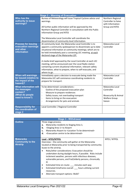|                                                                                               | <b>Stage 2 - Warning of Evacuation</b>                                                                                                                                                                                                                                                                                                                                                                                                                                                                                                                         |                                                                                                     |
|-----------------------------------------------------------------------------------------------|----------------------------------------------------------------------------------------------------------------------------------------------------------------------------------------------------------------------------------------------------------------------------------------------------------------------------------------------------------------------------------------------------------------------------------------------------------------------------------------------------------------------------------------------------------------|-----------------------------------------------------------------------------------------------------|
| Who has the<br>authority to issue<br>warnings?                                                | Bureau of Meteorology will issue Tropical Cyclone advice and<br>warnings.<br>All further public information will be approved by the<br>Northern Regional Controller in consultation with the Public<br>Information Group and NTES<br>The Mataranka Local Controller will coordinate the<br>dissemination of community level information.                                                                                                                                                                                                                       | Northern Regional<br>Controller to liaise<br>with Information<br>Group and NTES                     |
| <b>Process for issuing</b><br>evacuation warnings<br>and other<br>information                 | At community level, the Mataranka Local Controller is to<br>appoint a community spokesperson to disseminate up to date<br>situational information at community meetings; which are to<br>be held immediately post a convening LEC meeting, at each<br>declared stage of the Mataranka LEP.<br>A media brief approved by the Local Controller at each LEC<br>meeting, will be announced over the Local Radio station<br>containing current situational information, relevant safety<br>information, what to prepare, when to self-evacuate, and<br>where to go. | Mataranka Local<br>Controller                                                                       |
| <b>When will warnings</b><br>be issued (relative to<br>the impact of the<br>hazard)?          | Immediately upon a decision to evacuate being made the<br>Mataranka LEC will commence coordinating residents to<br>prepare for transport.                                                                                                                                                                                                                                                                                                                                                                                                                      | Mataranka Local<br>Controller                                                                       |
| <b>What information will</b><br>the messages<br>contain?<br>(What do people<br>need to know?) | To be determined: considerations -<br>Outline of the proposed evacuation plan<br>$\overline{\phantom{a}}$<br>Measure to prepare residences<br>$\overline{\phantom{a}}$<br>Safety issues; not overloading transport<br>$\overline{\phantom{a}}$<br>Items to bring on the evacuation<br>$\overline{\phantom{a}}$<br>Arrangements for pets and animals<br>$\overline{\phantom{a}}$                                                                                                                                                                                | Mataranka Local<br>Controller<br><b>Biosecurity &amp; Animal</b><br><b>Welfare Group</b><br>liaison |
| <b>Responsibility for</b><br>the coordination of<br>stage 2                                   | Local Controller / Regional Controller                                                                                                                                                                                                                                                                                                                                                                                                                                                                                                                         |                                                                                                     |

|                                                                | <b>Stage 3 - Withdrawal</b>                                                                                                                                                                                                                                                                                                                                                                                                                                                                                                                                                                     |              |  |  |
|----------------------------------------------------------------|-------------------------------------------------------------------------------------------------------------------------------------------------------------------------------------------------------------------------------------------------------------------------------------------------------------------------------------------------------------------------------------------------------------------------------------------------------------------------------------------------------------------------------------------------------------------------------------------------|--------------|--|--|
| <b>Outline</b>                                                 | Three stage process;<br>Mataranka residents to Staging Area 1;<br>a.<br><staging 1="" area=""> to Airport<br/>b.<br/>Mataranka Airport to <location be="" determined="" to=""><br/>c.<br/><evacuation be="" centre="" determined="" to=""><br/>d.</evacuation></location></staging>                                                                                                                                                                                                                                                                                                             |              |  |  |
| <b>Mataranka</b><br><b>Community to the</b><br><b>Airstrip</b> | Lead – NTES/NTPOL<br>Overview – the community will gather at the Mataranka<br>located at Mataranka prior to being transported by community<br>buses to the airstrip.<br>Risks/other considerations: Evacuation should be<br>undertaken during daylight hours, if possible. Risks include<br>inclement weather, persons with infectious diseases,<br>vulnerable persons, and frail/elderly persons, chronically<br>ill.<br>Estimated time en-route: __ minutes each way<br>٠<br>Estimated timeframe overall: __ hours utilising current<br>٠<br>resources.<br>Alternate transport options: Walk? | NTES / NTPOL |  |  |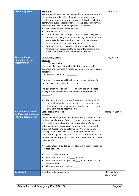| <b>Assembly area</b>                                  | <b>Mataranka</b><br>Mataranka will be utilised as an assembly point where people<br>will be transported to after pick up from homes to await<br>registration, buses and onward transport. This will also be the<br>point where evacuee registration will take place. Basic services<br>should be provided i.e. drinking water, information.<br>Services to be provided: Red Cross<br>$\bullet$<br><b>Coordinator: Red Cross</b><br>$\bullet$<br>Other details: Evacuee Registration - NTPFES College staff<br>$\bullet$<br>onsite will have log on access to the Register. Find. Reunite<br>system via the 3G network and hard copy registration<br>forms should there be a network failure.<br>Residents will need to register at Mataranka Club or<br>$\bullet$<br>Airport if (self-evacuating) to be permitted access to the<br>evacuation centre at the Darwin Show Grounds                                                                                                                                                                                                                    | NTES/NTPOL                    |
|-------------------------------------------------------|----------------------------------------------------------------------------------------------------------------------------------------------------------------------------------------------------------------------------------------------------------------------------------------------------------------------------------------------------------------------------------------------------------------------------------------------------------------------------------------------------------------------------------------------------------------------------------------------------------------------------------------------------------------------------------------------------------------------------------------------------------------------------------------------------------------------------------------------------------------------------------------------------------------------------------------------------------------------------------------------------------------------------------------------------------------------------------------------------|-------------------------------|
| <b>Mataranka to</b>                                   | Lead - NTES/NTPOL                                                                                                                                                                                                                                                                                                                                                                                                                                                                                                                                                                                                                                                                                                                                                                                                                                                                                                                                                                                                                                                                                  | NTES / NTPOL                  |
| <location be<br="" to="">determined&gt;</location>    | <b>Example</b><br>Lead - Transport Group<br>Overview - Transport Group has identified commercial<br>operators and the Police Air Section able to provide evacuation<br>assistance.<br>Total proposed air assets: _________.<br>Commercial operators will be charging commercial rates for<br>their services at a cost of $(\xi$ ____________.<br>The operation will begin at ________ hrs with the first aircraft,<br>leaving <to be="" determined=""> and arriving at Mataranka at<br/>hrs.<br/>The operation will continue throughout the day until all<br/><math display="inline">\bullet</math><br/>community members are evacuated. It is estimated that<br/>all community member can be evacuated by _______hrs<br/>(arriving in <to be="" determined="">).</to></to>                                                                                                                                                                                                                                                                                                                        |                               |
| < Location > Airport                                  | <b>Lead-Transport Group</b>                                                                                                                                                                                                                                                                                                                                                                                                                                                                                                                                                                                                                                                                                                                                                                                                                                                                                                                                                                                                                                                                        | <b>Transport Group</b>        |
| to Evacuation Centre<br><to be="" determined=""></to> | <b>Example</b><br>Overview - Buses (Buslink) will be on standby at <location to<br="">be determined&gt; Airport from am to receive passengers<br/>and continue throughout the day transferring to <to be<br="">determined&gt; only, as required. Transport staff will be on the<br/>ground at <location be="" determined="" to=""> Airport to marshal<br/>passengers on buses only. Buses to be arranged by the<br/>Transport Group. Evacuees will be collected from <location to<br="">be determined&gt; Airport and transported to the <location be<br="" to="">determined&gt;.<br/>A reception team provided by NT Police will meet evacuees and<br/>facilitate transport.<br/>Details: to be determined<br/><math display="inline">\bullet</math><br/>Estimated time en-route: ____ minutes<br/><math display="inline">\bullet</math><br/>Estimated timeframe: possibly _____ hours, dependant on<br/><math display="inline">\bullet</math><br/>aircraft arrivals.<br/>Alternate transport options:<br/><math display="inline">\bullet</math></location></location></location></to></location> |                               |
| <b>End point</b>                                      | <location be="" determined="" to=""></location>                                                                                                                                                                                                                                                                                                                                                                                                                                                                                                                                                                                                                                                                                                                                                                                                                                                                                                                                                                                                                                                    | EOC / Welfare<br>coordination |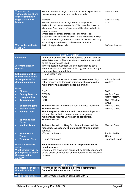| <b>Transport of</b><br>vulnerable members<br>of the community | Medical Group to arrange transport of vulnerable people from<br>the community to <location be="" determined="" to="">.</location>                                                                                                                                                                                                                                                                                                                                               | <b>Medical Group</b>            |
|---------------------------------------------------------------|---------------------------------------------------------------------------------------------------------------------------------------------------------------------------------------------------------------------------------------------------------------------------------------------------------------------------------------------------------------------------------------------------------------------------------------------------------------------------------|---------------------------------|
| <b>Registration and</b><br>tracking                           | Example<br>Welfare Group to activate registration arrangements.<br>Registration will be undertaken by NT Police and will occur at<br>Mataranka Club. Names of evacuees will be obtained prior to<br>boarding buses.<br>Where possible details of individuals and families self-<br>evacuating to be obtained on arrival at the Mataranka Airstrip.<br>If persons are not registered as evacuees or self-evacuees they<br>will not be provided access to the evacuation shelter. | Welfare Group /<br><b>NTPOL</b> |
| Who will coordinate<br>stage 3?                               | Region 2 Regional Controller.                                                                                                                                                                                                                                                                                                                                                                                                                                                   | EOC coordination.               |

|                                                   | <b>Stage 4 - Shelter</b>                                                                                                                                                                 |                                 |
|---------------------------------------------------|------------------------------------------------------------------------------------------------------------------------------------------------------------------------------------------|---------------------------------|
| <b>Overview</b>                                   | An evacuation centre will be established at the <location<br>to be determined&gt;. The <location be="" determined="" to=""> will<br/>be the primary areas used.</location></location<br> |                                 |
| <b>Alternate shelter</b>                          | Where possible evacuees will be encouraged to seek                                                                                                                                       |                                 |
| options.                                          | alternative accommodation with family, friends or through<br>commercial accommodation.                                                                                                   |                                 |
| <b>Estimated duration</b><br>of the shelter phase | <to be="" determined="">.</to>                                                                                                                                                           |                                 |
| <b>Arrangements for</b><br>domestic animals       | No domestic animals are to accompany evacuees. Any<br>self-evacuees with domestic animals will be expected to<br>make their own arrangements for the animals.                            | <b>Advise Animal</b><br>Welfare |
| <b>Roles</b>                                      |                                                                                                                                                                                          |                                 |
| <b>Director</b>                                   | CMC                                                                                                                                                                                      | <b>CMC</b>                      |
| <b>Deputy Director</b><br>$\bullet$               | <b>DTFHC</b>                                                                                                                                                                             | <b>Welfare Group</b>            |
| Log./planning<br>$\bullet$                        | EOC.                                                                                                                                                                                     | NTES / NTPOL                    |
| <b>Admin teams</b><br>$\bullet$                   | EOC                                                                                                                                                                                      | CMC / Welfare<br>Group          |
| <b>Shift manager/s</b><br>$\bullet$               | To be confirmed - drawn from pool of trained DCF staff.                                                                                                                                  | <b>Welfare Group</b>            |
| <b>Welfare Team</b><br>$\bullet$                  | To be confirmed                                                                                                                                                                          | <b>Welfare Group</b>            |
| <b>Facility Team</b><br>$\bullet$                 | The Showgrounds Grounds and Maintenance Supervisor<br>will lead this in the first instance and arrange any<br>maintenance required using existing contractors.                           |                                 |
| <b>Sport and Rec</b><br><b>Team</b>               | To be confirmed                                                                                                                                                                          |                                 |
| <b>Medical Team</b><br>$\bullet$                  | To be confirmed. It is likely St Johns volunteers will be<br>requested. Evacuees will be referred to off-site medical<br>services.                                                       | <b>Medical Group</b>            |
| <b>Public Health</b><br><b>Team</b>               | <to be="" confirmed=""></to>                                                                                                                                                             | <b>Public Health</b><br>Group   |
| <b>Transport Team</b>                             | <to be="" confirmed=""></to>                                                                                                                                                             | <b>Transport Group</b>          |
| <b>Evacuation centre</b><br>set-up                | Refer to the Evacuation Centre Template for set-up<br>considerations                                                                                                                     |                                 |
| What strategy will be                             | Closure of the evacuation centre will be largely dependent                                                                                                                               |                                 |
| put in place to close                             | on the extent of inundation and complexity of the recovery                                                                                                                               |                                 |
| the evacuation<br>centre?                         | process.                                                                                                                                                                                 |                                 |

| Stage 5 - Return                                       |                                                                                          |  |  |
|--------------------------------------------------------|------------------------------------------------------------------------------------------|--|--|
| Indicators or triggers<br>that will enable a<br>return | (refer to recovery action plan for the community)<br>Dept. of Chief Minister and Cabinet |  |  |
| Who is responsible                                     | Recovery Coordination in conjunction with IMT.                                           |  |  |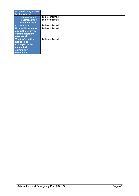| for developing a plan<br>for the return?                                                        |                  |  |
|-------------------------------------------------------------------------------------------------|------------------|--|
| <b>Transportation</b><br>$\bullet$                                                              | To be confirmed. |  |
| <b>Route/assembly</b><br>$\bullet$                                                              | To be confirmed. |  |
| points en-route                                                                                 |                  |  |
| $\bullet$<br><b>End point</b>                                                                   | To be confirmed. |  |
| <b>How will information</b><br>about the return be<br>communicated to<br>evacuees?              | To be confirmed. |  |
| <b>What information</b><br>needs to be<br>conveyed to the<br>evacuated<br>community<br>members? | To be confirmed. |  |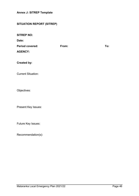<span id="page-45-0"></span>**Annex J: SITREP Template** 

# **SITUATION REPORT (SITREP)**

**SITREP NO:**

**Date:**

| <b>Period covered:</b> | From: | To: |
|------------------------|-------|-----|
| <b>AGENCY:</b>         |       |     |
|                        |       |     |

**Created by:**

Current Situation:

Objectives:

Present Key Issues:

Future Key Issues:

Recommendation(s):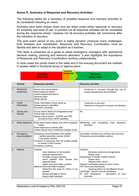# <span id="page-46-0"></span>**Annex K: Summary of Response and Recovery Activities**

The following tables list a summary of possible response and recovery activities to be considered following an event.

Activities have been broken down and are listed under either response or recovery for simplicity and ease of use. In practice not all response activities will be completed during the response phase. Likewise not all recovery activities will commence after the transition to recovery.

The post event period of any event is highly dynamic produces many challenges, both foreseen and unpredicted. Response and Recovery Coordination must be flexible and able to adapt to the situation as it evolves.

This table is presented as a guide to assist emergency managers with operational decision making, planning and resource allocation. It also highlights the importance of Response and Recovery Coordination working collaboratively.

In most cases the points noted in this table and in the ensuing document are outlined in greater detail in functional group or agency plans.

| <b>Transitional</b>                  |                            |                                                                                                                                                                                                                                                                                                                                                   |                                      |                                                                                                                                                                                                                                                                                                                                                                               |  |  |
|--------------------------------------|----------------------------|---------------------------------------------------------------------------------------------------------------------------------------------------------------------------------------------------------------------------------------------------------------------------------------------------------------------------------------------------|--------------------------------------|-------------------------------------------------------------------------------------------------------------------------------------------------------------------------------------------------------------------------------------------------------------------------------------------------------------------------------------------------------------------------------|--|--|
| <b>Response</b><br><b>PFES / EOC</b> |                            | <b>Arrangements</b>                                                                                                                                                                                                                                                                                                                               | <b>Recovery</b><br><b>DCM / TCCC</b> |                                                                                                                                                                                                                                                                                                                                                                               |  |  |
|                                      | <b>Activity</b>            | <b>Response activities</b>                                                                                                                                                                                                                                                                                                                        |                                      | <b>Recovery activities</b>                                                                                                                                                                                                                                                                                                                                                    |  |  |
| 1.                                   | Situational<br>awareness   | Survey and rescue teams<br>Road clearance teams<br>Impact assessment teams<br>General public<br>Media reports                                                                                                                                                                                                                                     |                                      | Continues in recovery through the use of<br>□<br>impact assessments and Outreach                                                                                                                                                                                                                                                                                              |  |  |
| 2.                                   | Public<br>Information      | Public Information Group stood up<br>Spokes persons identified<br>SecureNT activated                                                                                                                                                                                                                                                              |                                      | Continues in recovery<br>□<br>$\Box$<br>Handover to long term recovery coordination                                                                                                                                                                                                                                                                                           |  |  |
| 3.                                   | Survey and<br>Rescue       | Survey teams deploy to designated areas<br>Critical sites surveyed<br>Deploy rescue teams - NTFRS and TRS<br>provide primary USAR capability                                                                                                                                                                                                      |                                      | Nil                                                                                                                                                                                                                                                                                                                                                                           |  |  |
| 4.                                   | Road clearance             | Road patrol teams deploy and check assigned<br>routes<br>Road clearance to priority sites<br>Assess Stuart Hwy to Katherine (supply route)                                                                                                                                                                                                        |                                      | Monitoring<br>and<br>completing<br>road<br>clearance<br>activities                                                                                                                                                                                                                                                                                                            |  |  |
| 5.                                   | Emergency<br>accommodation | Emergency accommodation and shelter<br>- welfare assembly centres (WAC)<br>- evacuation centres<br>Provision of resources that will enable people<br>to remain in their homes<br>Emergency clothing                                                                                                                                               |                                      | Evacuation centres may continue into recovery.<br>Temporary accommodation options                                                                                                                                                                                                                                                                                             |  |  |
| 6.                                   | Medical                    | Hospital<br>road clearance to the hospital<br>$\blacksquare$<br>damage assessment<br>increase morgue capacity<br>divert patients from remote<br>regional areas<br>power (fuel) and water supplies<br>Medical clinics and field hospitals<br>Determine the need for clinics to be<br>opened<br>Assess damage to clinics<br>Deploy field hospital/s | and                                  | Hospital<br>Business continuity arrangements<br>Repair work<br>Department of Health- Health Centres<br>Repair work<br>$\blacksquare$<br>Reopen other clinics<br>Support vulnerable people to return home.<br>GP clinics and pharmacies<br>Ongoing liaison by the Medical Group<br>CareFlight - resume normal operations<br>St John Ambulance - resumption of core<br>business |  |  |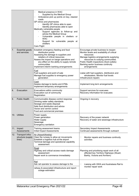|    |                                                     | Medical presence in WAC<br>□<br>Supplied by the Medical Group<br>Ambulance pick up points on key, cleared<br>Ц<br>roads<br>GP clinics and pharmacies<br>Identify GP clinics able to open<br>Identify pharmacies able to open<br>Medically vulnerable people<br>Support agencies to follow-up and<br>advise the Medical Group<br>Vulnerable people in shelters or<br><b>WAC</b><br>Support for vulnerable people at<br>shelters<br>Care Flight |                                                                                                                                                                                                                                                                                    |  |
|----|-----------------------------------------------------|-----------------------------------------------------------------------------------------------------------------------------------------------------------------------------------------------------------------------------------------------------------------------------------------------------------------------------------------------------------------------------------------------------------------------------------------------|------------------------------------------------------------------------------------------------------------------------------------------------------------------------------------------------------------------------------------------------------------------------------------|--|
| 7. | Essential goods<br>and services                     | Establish emergency feeding and food<br>distribution points<br>Assessing the damage to suppliers and<br>retailers of critical resources<br>Assess the impact on barge operations and<br>any effect on the ability to supply remote<br>communities<br>Implement interim banking arrangements                                                                                                                                                   | Encourage private business to reopen<br>Monitor levels and availability of critical<br>resources<br>Manage logistics arrangements supplying<br>resources to outlying communities<br>Public Health inspections (food outlets)<br>Banking sector business continuity<br>arrangements |  |
|    |                                                     | Fuel<br>Fuel suppliers and point of sale<br>Manage fuel supplies to emergency power<br>generation                                                                                                                                                                                                                                                                                                                                             | Liaise with fuel suppliers, distributors and<br>wholesalers. Monitor fuel levels<br>Infrastructure repairs                                                                                                                                                                         |  |
|    |                                                     | Cash<br>Assess damage to banks and ATMs<br>Implement temporary arrangements                                                                                                                                                                                                                                                                                                                                                                   | Implement long term arrangements                                                                                                                                                                                                                                                   |  |
| 8. | Evacuation                                          | Evacuations within community<br>Evacuation out of community<br>Registration                                                                                                                                                                                                                                                                                                                                                                   | Support services for evacuees<br>Recovery information for evacuees                                                                                                                                                                                                                 |  |
| 9. | <b>Public Health</b>                                | Communicable disease control response<br>Drinking water safety standards<br>Sewage and waste disposal<br>Safe food distribution and advice<br>Vector and vermin control<br>Food and commercial premises                                                                                                                                                                                                                                       | Ongoing in recovery                                                                                                                                                                                                                                                                |  |
|    | 10. Utilities                                       | Power supply<br>Power generation<br>Water supply<br>Sewerage<br><b>Emergency sanitation</b>                                                                                                                                                                                                                                                                                                                                                   | Recovery of the power network<br>Recovery of water and sewerage infrastructure                                                                                                                                                                                                     |  |
|    | 11. Impact<br>Assessments                           | Training assessment teams<br>Initial Impact Assessments                                                                                                                                                                                                                                                                                                                                                                                       | <b>Secondary Impact Assessments</b><br>Continued assessments through outreach                                                                                                                                                                                                      |  |
|    | 12. Transport infra-<br>structure (supply<br>lines) | Air (Airport/Airstrip)<br>Clear the runway to allow air movements<br>Establish a logistics hub at the airport<br>Terminal damage and operational capability<br>assessment                                                                                                                                                                                                                                                                     | Monitor repairs and business continuity<br>□<br>activities                                                                                                                                                                                                                         |  |
|    |                                                     | Road<br>Highway and critical access roads damage<br>assessment<br>Repair work to commence immediately                                                                                                                                                                                                                                                                                                                                         | Planning and prioritising repair work of all<br>affected key Territory Highways (Stuart,<br>Barkly, Victoria and Arnhem)                                                                                                                                                           |  |
|    |                                                     | Rail<br>Ask rail operator to assess damage to the<br>railway & associated infrastructure and report<br>outage estimation                                                                                                                                                                                                                                                                                                                      | $\Box$<br>Liaising with GWA and Australasia Rail to<br>monitor repair work                                                                                                                                                                                                         |  |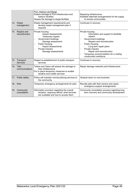|     |                                  | Port, Harbour and Barge<br>Assess damage to Port infrastructure and<br>harbour facilities<br>Assess the damage to barge facilities                                                                                            | Repairing infrastructure<br>Establish alternate arrangements for the supply<br>of remote communities                                                                                                                                                                                                                   |  |
|-----|----------------------------------|-------------------------------------------------------------------------------------------------------------------------------------------------------------------------------------------------------------------------------|------------------------------------------------------------------------------------------------------------------------------------------------------------------------------------------------------------------------------------------------------------------------------------------------------------------------|--|
|     | 13. Waste<br>management          | Waste management requirements and<br>develop waste management plan if<br>required                                                                                                                                             | Continues in recovery                                                                                                                                                                                                                                                                                                  |  |
| 14. | Repairs and<br>reconstruction    | Private housing<br><b>Impact Assessments</b><br>Temporary repairs<br>Government buildings<br>□<br>Damage assessment<br><b>Public Housing</b><br>□<br><b>Impact Assessments</b><br>Private Industry<br>ш<br>Damage assessments | Private housing<br>Information and support to facilitate<br>repairs.<br>Government buildings<br>□<br>Repairs and reconstruction<br><b>Public Housing</b><br>□<br>Long term repair plans<br>Private Industry<br>□<br>Repair and reconstruction<br>Temporary accommodation for a visiting<br>□<br>construction workforce |  |
|     | 15. Transport<br><b>Services</b> | Staged re-establishment of public transport<br>services                                                                                                                                                                       | Continues in recovery                                                                                                                                                                                                                                                                                                  |  |
|     | 16. Tele-<br>communications      | Telstra and Optus will assess the damage to<br>their infrastructure<br>Put in place temporary measures to enable<br>landline and mobile services                                                                              | Repair damage networks and infrastructure                                                                                                                                                                                                                                                                              |  |
| 17. | Public safety                    | Police will maintain normal policing services to<br>the community                                                                                                                                                             | Gradual return to core business                                                                                                                                                                                                                                                                                        |  |
|     | 18. Pets                         | Temporary emergency arrangements for pets.                                                                                                                                                                                    | Reunite pets with their owners and cease<br>emergency support arrangements                                                                                                                                                                                                                                             |  |
| 19. | Community<br>consultation        | Information provision regarding the overall<br>situation, response efforts, what services<br>are available and how to access them                                                                                             | Community consultation process regarding long<br>term recovery and community development                                                                                                                                                                                                                               |  |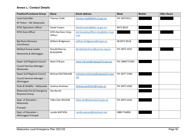# **Annex L: Contact Details**

<span id="page-49-0"></span>

| <b>Position/Functional Group</b>                    | <b>Name</b>                          | <b>Email address</b>                         | <b>Work</b>    | <b>Mobile</b> | <b>After Hours</b> |
|-----------------------------------------------------|--------------------------------------|----------------------------------------------|----------------|---------------|--------------------|
| <b>Local Controller</b>                             | <b>Thomas Chalk</b>                  | thomas.chalk@pfes.nt.gov.au                  | PH: 89754511   |               |                    |
| NT Police - OIC Mataranka                           |                                      |                                              |                |               |                    |
| <b>NTES Operations Officer</b>                      | <b>David Travers</b>                 | David.travers@pfes.nt.gov.au                 | 8973 8010      |               |                    |
| <b>NTES Duty Officer</b>                            | <b>NTES Northern Duty</b><br>Officer | territorydutyofficer.ntes@pfes.nt.go<br>v.au |                |               |                    |
| <b>Big Rivers Recovery</b><br>Coordinator           | William Bridgeman                    | william.bridgeman@nt.gov.au                  | 08 8973 8518   |               |                    |
| <b>Medical Group Leader</b>                         | Donald Murray                        | donald.blackman@sunrise.org.au               | PH: 8975 4547  |               |                    |
| Mataranka & Jilkminggan                             | <b>BLACKMAN</b>                      |                                              |                |               |                    |
| Roper Gulf Regional Council                         | Mark O'Bryan                         | mark.o'bryan@ropergulf.nt.gov.au             | PH: 0889772300 |               |                    |
| Council Services Manager -<br>Mataranka             |                                      |                                              |                |               |                    |
| Roper Gulf Regional Council                         | <b>Michael MCFARLANE</b>             | michael.mcfarlane@ropergulf.nt.gov           | PH: 8977 2300  |               |                    |
| Council Services Manager-<br>Jilkminggan            |                                      | $au$                                         |                |               |                    |
| Parks & Wildlife - Mataranka                        | Andrew Peckham                       | Andrew.peckham@nt.gov.au                     | PH: 8975 4560  |               |                    |
| Mataranka Fire & Emergency<br><b>Response Group</b> | Des Barritt                          |                                              |                |               |                    |
| Dept. of Education -<br>Mataranka                   | Telka Zotz WILSON                    | telka.zotz@educationnt.gov.au                | PH: 8975 4543  |               |                    |
| Principal                                           |                                      |                                              |                |               |                    |
| Dept. of Education -<br>Jilkminggan Principal       | Lyndie WATSON                        | Lyndie.watson@ntschools.net                  | 0889 754896    |               |                    |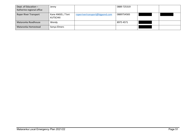| Dept. of Education $-$<br>Katherine regional office | Jenny                                |                                 | 0889 725319 |  |
|-----------------------------------------------------|--------------------------------------|---------------------------------|-------------|--|
| <b>Roper River Transport</b>                        | Kane ANGEL / Toni<br><b>KUTSCHKI</b> | roperrivertransport@bigpond.com | 0889754583  |  |
| Mataranka Roadhouse                                 | Wendy                                |                                 | 8975 4571   |  |
| Mataranka Homestead                                 | Sonya Elmers                         |                                 |             |  |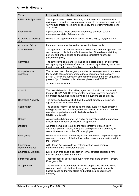<span id="page-51-0"></span>

| <b>Term</b>                  | In the context of this plan, this means:                                                                                                                                                                                                                                 |
|------------------------------|--------------------------------------------------------------------------------------------------------------------------------------------------------------------------------------------------------------------------------------------------------------------------|
| All Hazards Approach         | The application of one set of control, coordination and communication<br>policies and procedures in a universal manner to emergency situations of<br>varying type thereby promoting consistency of emergency management<br>at all levels.                                |
| Affected area                | A particular area where either an emergency situation, state of<br>emergency or state of disaster exists.                                                                                                                                                                |
| Approved emergency<br>plan   | Means a plan approved under section 10930, 13(2), 16(2) of the Act.                                                                                                                                                                                                      |
| <b>Authorised Officer</b>    | Person or persons authorised under section 98 of the Act.                                                                                                                                                                                                                |
| <b>Chief Executive</b>       | The appointed position that leads the governance and management of a<br>service responsible for the effective exercise of the relevant statutory<br>powers, authorities, duties and functions consistent with the NT<br>government policy.                               |
| Command                      | The authority to command is established in legislation or by agreement<br>with agency/organisations. Command relates to agencies/organisations,<br>functions and individuals. Situations are controlled.                                                                 |
| Comprehensive<br>approach    | The development of emergency and disaster arrangements to embrace<br>the aspects of prevention, preparedness, response, and recovery<br>(PPRR). PPRR are aspects of emergency management, not sequential<br>phases. Syn. 'disaster cycle', 'disaster phases' and 'PPRR'. |
|                              | Source: AEM Glossary                                                                                                                                                                                                                                                     |
| Control                      | The overall direction of activities, agencies or individuals concerned<br>(source; SERM Act). Control operates horizontally across agencies /<br>organisations, functions and individuals. Situations are controlled.                                                    |
| <b>Controlling Authority</b> | The authorised agency which has the overall direction of activities,<br>agencies or individuals concerned.                                                                                                                                                               |
| Coordination                 | The bringing together of agencies and individuals to ensure effective<br>emergency and rescue management but does not include the control of<br>agencies, organisations and individuals by direction.<br>Source: SERM Act.                                               |
| <b>Debrief</b>               | A meeting held during or at the end of an operation with the purpose of<br>assessing the conduct or results of an operation.                                                                                                                                             |
| Delegate                     | A person nominated to act as the representative of an officially<br>appointed position holder, having the same powers and authority to<br>commit the resources of the official employee.                                                                                 |
| Emergency                    | Means an event that requires significant coordinated response using the<br>combined resources of the territory and non-government entities within<br>the Territory.                                                                                                      |
| Emergency<br>Management Act  | A Bill for an Act to provide for matters relating to emergency<br>management and for related matters.                                                                                                                                                                    |
| <b>Emergency Situation</b>   | Exists in an area once a declaration to that effect is declared by the<br>minister under section 3 of the Act.                                                                                                                                                           |
| <b>Functional Group</b>      | These responsibilities are laid out in functional plans and the Territory<br>Emergency Plan.                                                                                                                                                                             |
| Group Leader                 | The individual allocated responsibility to prepare for, respond to and<br>command and control a functional group in response to a specific<br>hazard based on their legislated and or technical capability and<br>authority.                                             |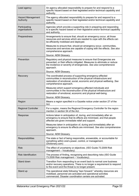| Lead agency                           | An agency allocated responsibility to prepare for and respond to a<br>specific hazard based on their legislated and/or technical capability and<br>authority.                                                                     |
|---------------------------------------|-----------------------------------------------------------------------------------------------------------------------------------------------------------------------------------------------------------------------------------|
| <b>Hazard Management</b><br>Authority | The agency allocated responsibility to prepare for and respond to a<br>specific hazard based on their legislated and/or technical capability and<br>authority.                                                                    |
| Participating<br>organisations        | Agencies which provide a supporting role in preparing and responding<br>to a specific hazard based on their legislative and/or technical capability<br>and authority.                                                             |
| Preparedness                          | Arrangements to ensure that, should an emergency occur, all those<br>resources and services which are needed to cope with the effects can<br>be efficiently mobilised and deployed.                                               |
|                                       | Measures to ensure that, should an emergency occur, communities,<br>resources and services are capable of coping with the effects. See also<br>comprehensive approach.                                                            |
|                                       | Source: AEM Glossary.                                                                                                                                                                                                             |
| Prevention                            | Regulatory and physical measures to ensure that Emergencies are<br>prevented, or their effects mitigated. Measures to eliminate or reduce<br>the incidence or severity of emergencies. See also comprehensive<br>approach.        |
|                                       | Source: AEM Glossary.                                                                                                                                                                                                             |
| Recovery                              | The coordinated process of supporting emergency-affected<br>communities in reconstruction of the physical infrastructure and<br>restoration of emotional, social, economic and physical wellbeing. See<br>comprehensive approach. |
|                                       | Measures which support emergency-affected individuals and<br>communities in the reconstruction of the physical infrastructure and<br>restoration of emotional, economic and physical well-being.                                  |
|                                       | Source: AEM Glossary.                                                                                                                                                                                                             |
| Region                                | Means a region specified in a Gazette notice under section 27 of the<br>Act.                                                                                                                                                      |
| <b>Regional Controller</b>            | For a region, means the Regional Emergency Controller for the region<br>mention in section 54 of the Act.                                                                                                                         |
| Response                              | Actions taken in anticipation of, during, and immediately after an<br>emergency to ensure that its effects are minimised, and that people<br>affected are given immediate relief and support.                                     |
|                                       | Measures taken in anticipation of, during and immediately after an<br>emergency to ensure its effects are minimised. See also comprehensive<br>approach.                                                                          |
|                                       | Source: AEM Glossary.                                                                                                                                                                                                             |
| Responsibilities                      | The state or fact of being responsible, answerable, or accountable for<br>something within one's power, control, or management.<br>(Dictionary.com)                                                                               |
| <b>Risk</b>                           | The effect of uncertainty or objectives. (ISO Guide 73.2009 Risk<br>management - Vocabulary)                                                                                                                                      |
| <b>Risk Identification</b>            | The process of finding, recognising and describing risks (ISO Guide<br>73.2009 Risk management - Vocabulary).                                                                                                                     |
| Stand down                            | Transition from responding to an event back to normal core business<br>and/or recovery operations. There is no longer a requirement to respond<br>to the event and the threat is no longer present.                               |
| Stand up                              | The operational state following "lean forward:" whereby resources are<br>mobilised, personnel are activated and operational activities<br>commenced. Disaster coordination centers are activated.                                 |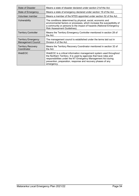| <b>State of Disaster</b>                                | Means a state of disaster declared under section 21of the Act.                                                                                                                                                                                                                          |
|---------------------------------------------------------|-----------------------------------------------------------------------------------------------------------------------------------------------------------------------------------------------------------------------------------------------------------------------------------------|
| State of Emergency                                      | Means a state of emergency declared under section 19 of the Act.                                                                                                                                                                                                                        |
| Volunteer member                                        | Means a member of the NTES appointed under section 52 of the Act.                                                                                                                                                                                                                       |
| Vulnerability                                           | The conditions determined by physical, social, economic and<br>environmental factors or processes, which increase the susceptibility of<br>a community or persons to the impact of hazards (National Emergency<br>Risk Assessment Guidelines).                                          |
| <b>Territory Controller</b>                             | Means the Territory Emergency Controller mentioned in section 28 of<br>the Act.                                                                                                                                                                                                         |
| <b>Territory Emergency</b><br><b>Management Council</b> | The management council is established under the terms laid out in<br>Division 4 of the Act.                                                                                                                                                                                             |
| <b>Territory Recovery</b><br>Coordinator                | Means the Territory Recovery Coordinator mentioned in section 32 of<br>the Act.                                                                                                                                                                                                         |
| WebEOC                                                  | WebEOC is a critical information management system used throughout<br>the Northern Territory. It is used by agencies that have roles and<br>responsibilities under the NT Emergency Management Act during<br>prevention, preparation, response and recovery phases of any<br>emergency. |